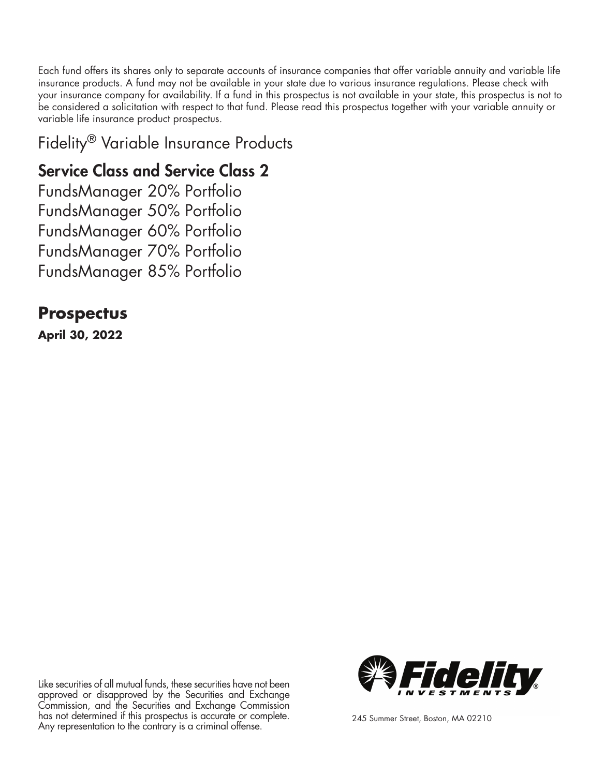Each fund offers its shares only to separate accounts of insurance companies that offer variable annuity and variable life insurance products. A fund may not be available in your state due to various insurance regulations. Please check with your insurance company for availability. If a fund in this prospectus is not available in your state, this prospectus is not to be considered a solicitation with respect to that fund. Please read this prospectus together with your variable annuity or variable life insurance product prospectus.

Fidelity® Variable Insurance Products

# Service Class and Service Class 2

FundsManager 20% Portfolio FundsManager 50% Portfolio FundsManager 60% Portfolio FundsManager 70% Portfolio FundsManager 85% Portfolio

# **Prospectus**

**April 30, 2022**

Like securities of all mutual funds, these securities have not been approved or disapproved by the Securities and Exchange Commission, and the Securities and Exchange Commission has not determined if this prospectus is accurate or complete. Any representation to the contrary is a criminal offense. 245 Summer Street, Boston, MA 02210

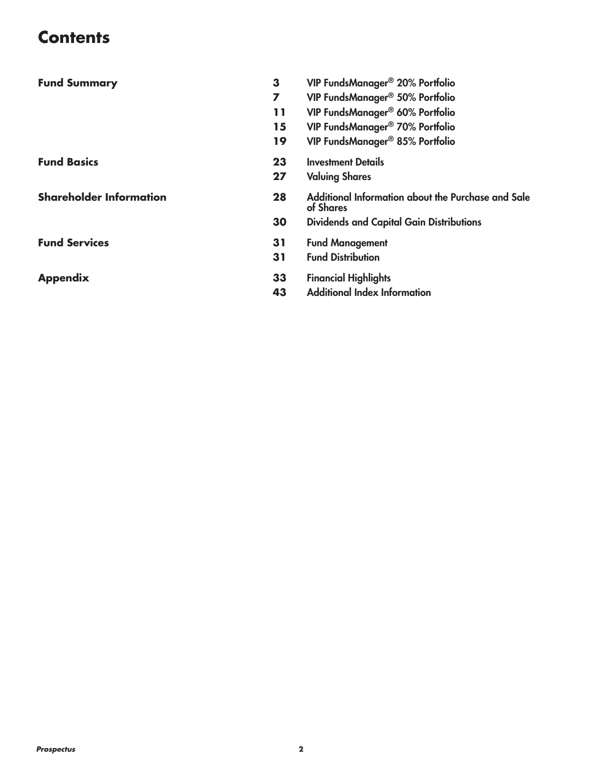# **Contents**

| <b>Fund Summary</b>            | 3  | VIP FundsManager® 20% Portfolio                                 |
|--------------------------------|----|-----------------------------------------------------------------|
|                                | 7  | VIP FundsManager® 50% Portfolio                                 |
|                                | 11 | VIP FundsManager® 60% Portfolio                                 |
|                                | 15 | VIP FundsManager® 70% Portfolio                                 |
|                                | 19 | VIP FundsManager® 85% Portfolio                                 |
| <b>Fund Basics</b>             | 23 | <b>Investment Details</b>                                       |
|                                | 27 | <b>Valuing Shares</b>                                           |
| <b>Shareholder Information</b> | 28 | Additional Information about the Purchase and Sale<br>of Shares |
|                                | 30 | <b>Dividends and Capital Gain Distributions</b>                 |
| <b>Fund Services</b>           | 31 | <b>Fund Management</b>                                          |
|                                | 31 | <b>Fund Distribution</b>                                        |
| <b>Appendix</b>                | 33 | <b>Financial Highlights</b>                                     |
|                                | 43 | <b>Additional Index Information</b>                             |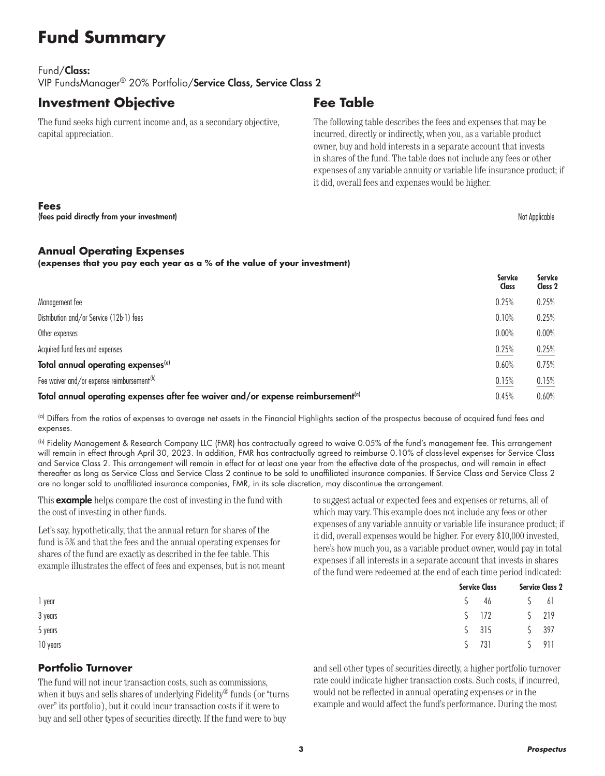# **Fund Summary**

#### Fund/Class: VIP FundsManager® 20% Portfolio/Service Class, Service Class 2

### **Investment Objective**

The fund seeks high current income and, as a secondary objective, capital appreciation.

## **Fee Table**

The following table describes the fees and expenses that may be incurred, directly or indirectly, when you, as a variable product owner, buy and hold interests in a separate account that invests in shares of the fund. The table does not include any fees or other expenses of any variable annuity or variable life insurance product; if it did, overall fees and expenses would be higher.

#### **Fees**

(fees paid directly from your investment) and the state of the state of the state of the state of the state of the state of the state of the state of the state of the state of the state of the state of the state of the sta

#### **Annual Operating Expenses**

**(expenses that you pay each year as a % of the value of your investment)**

|                                                                                              | <b>Service</b><br>Class | <b>Service</b><br>Class 2 |
|----------------------------------------------------------------------------------------------|-------------------------|---------------------------|
| Management fee                                                                               | 0.25%                   | 0.25%                     |
| Distribution and/or Service (12b-1) fees                                                     | 0.10%                   | 0.25%                     |
| Other expenses                                                                               | 0.00%                   | 0.00%                     |
| Acquired fund fees and expenses                                                              | 0.25%                   | 0.25%                     |
| Total annual operating expenses <sup>(a)</sup>                                               | 0.60%                   | 0.75%                     |
| Fee waiver and/or expense reimbursement <sup>(b)</sup>                                       | 0.15%                   | 0.15%                     |
| Total annual operating expenses after fee waiver and/or expense reimbursement <sup>(a)</sup> | 0.45%                   | 0.60%                     |

(a) Differs from the ratios of expenses to average net assets in the Financial Highlights section of the prospectus because of acquired fund fees and expenses.

(b) Fidelity Management & Research Company LLC (FMR) has contractually agreed to waive 0.05% of the fund's management fee. This arrangement will remain in effect through April 30, 2023. In addition, FMR has contractually agreed to reimburse 0.10% of class-level expenses for Service Class and Service Class 2. This arrangement will remain in effect for at least one year from the effective date of the prospectus, and will remain in effect thereafter as long as Service Class and Service Class 2 continue to be sold to unaffiliated insurance companies. If Service Class and Service Class 2 are no longer sold to unaffiliated insurance companies, FMR, in its sole discretion, may discontinue the arrangement.

This **example** helps compare the cost of investing in the fund with the cost of investing in other funds.

Let's say, hypothetically, that the annual return for shares of the fund is 5% and that the fees and the annual operating expenses for shares of the fund are exactly as described in the fee table. This example illustrates the effect of fees and expenses, but is not meant

to suggest actual or expected fees and expenses or returns, all of which may vary. This example does not include any fees or other expenses of any variable annuity or variable life insurance product; if it did, overall expenses would be higher. For every \$10,000 invested, here's how much you, as a variable product owner, would pay in total expenses if all interests in a separate account that invests in shares of the fund were redeemed at the end of each time period indicated:

|          | <b>Service Class</b> |                                                         | <b>Service Class 2</b> |  |
|----------|----------------------|---------------------------------------------------------|------------------------|--|
| 1 year   | $5 \t 46$            | $\begin{bmatrix} 5 & 6 \end{bmatrix}$                   |                        |  |
| 3 years  |                      | $5 \t172 \t5 \t219$                                     |                        |  |
| 5 years  |                      | $\begin{array}{cccc} \xi & 315 & \xi & 397 \end{array}$ |                        |  |
| 10 years | $\zeta$              | \$ 911<br>731                                           |                        |  |

#### **Portfolio Turnover**

The fund will not incur transaction costs, such as commissions, when it buys and sells shares of underlying Fidelity<sup>®</sup> funds (or "turns" over" its portfolio), but it could incur transaction costs if it were to buy and sell other types of securities directly. If the fund were to buy

and sell other types of securities directly, a higher portfolio turnover rate could indicate higher transaction costs. Such costs, if incurred, would not be reflected in annual operating expenses or in the example and would affect the fund's performance. During the most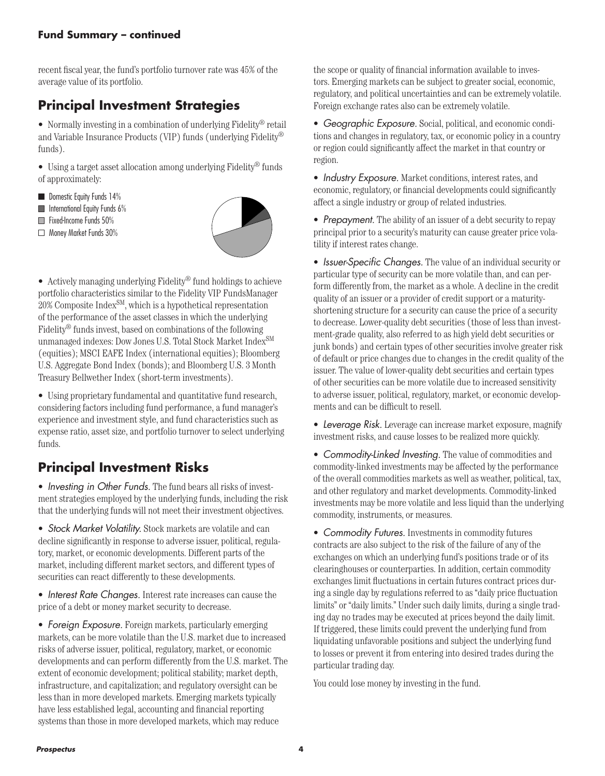#### **Fund Summary – continued**

recent fiscal year, the fund's portfolio turnover rate was 45% of the average value of its portfolio.

## **Principal Investment Strategies**

• Normally investing in a combination of underlying Fidelity® retail and Variable Insurance Products (VIP) funds (underlying Fidelity® funds).

• Using a target asset allocation among underlying Fidelity® funds of approximately:

- **Domestic Equity Funds 14%**
- $\blacksquare$  International Equity Funds 6%
- Fixed-Income Funds 50%
- Money Market Funds 30%



• Actively managing underlying Fidelity® fund holdings to achieve portfolio characteristics similar to the Fidelity VIP FundsManager 20% Composite IndexSM, which is a hypothetical representation of the performance of the asset classes in which the underlying Fidelity® funds invest, based on combinations of the following unmanaged indexes: Dow Jones U.S. Total Stock Market  ${\rm Index^{SM}}$ (equities); MSCI EAFE Index (international equities); Bloomberg U.S. Aggregate Bond Index (bonds); and Bloomberg U.S. 3 Month Treasury Bellwether Index (short-term investments).

• Using proprietary fundamental and quantitative fund research, considering factors including fund performance, a fund manager's experience and investment style, and fund characteristics such as expense ratio, asset size, and portfolio turnover to select underlying funds.

## **Principal Investment Risks**

• *Investing in Other Funds.* The fund bears all risks of investment strategies employed by the underlying funds, including the risk that the underlying funds will not meet their investment objectives.

• *Stock Market Volatility.* Stock markets are volatile and can decline significantly in response to adverse issuer, political, regulatory, market, or economic developments. Different parts of the market, including different market sectors, and different types of securities can react differently to these developments.

• *Interest Rate Changes.* Interest rate increases can cause the price of a debt or money market security to decrease.

• *Foreign Exposure.* Foreign markets, particularly emerging markets, can be more volatile than the U.S. market due to increased risks of adverse issuer, political, regulatory, market, or economic developments and can perform differently from the U.S. market. The extent of economic development; political stability; market depth, infrastructure, and capitalization; and regulatory oversight can be less than in more developed markets. Emerging markets typically have less established legal, accounting and financial reporting systems than those in more developed markets, which may reduce

the scope or quality of financial information available to investors. Emerging markets can be subject to greater social, economic, regulatory, and political uncertainties and can be extremely volatile. Foreign exchange rates also can be extremely volatile.

• *Geographic Exposure.* Social, political, and economic conditions and changes in regulatory, tax, or economic policy in a country or region could significantly affect the market in that country or region.

• *Industry Exposure.* Market conditions, interest rates, and economic, regulatory, or financial developments could significantly affect a single industry or group of related industries.

• *Prepayment.* The ability of an issuer of a debt security to repay principal prior to a security's maturity can cause greater price volatility if interest rates change.

• *Issuer-Specific Changes.* The value of an individual security or particular type of security can be more volatile than, and can perform differently from, the market as a whole. A decline in the credit quality of an issuer or a provider of credit support or a maturityshortening structure for a security can cause the price of a security to decrease. Lower-quality debt securities (those of less than investment-grade quality, also referred to as high yield debt securities or junk bonds) and certain types of other securities involve greater risk of default or price changes due to changes in the credit quality of the issuer. The value of lower-quality debt securities and certain types of other securities can be more volatile due to increased sensitivity to adverse issuer, political, regulatory, market, or economic developments and can be difficult to resell.

• *Leverage Risk.* Leverage can increase market exposure, magnify investment risks, and cause losses to be realized more quickly.

• *Commodity-Linked Investing.* The value of commodities and commodity-linked investments may be affected by the performance of the overall commodities markets as well as weather, political, tax, and other regulatory and market developments. Commodity-linked investments may be more volatile and less liquid than the underlying commodity, instruments, or measures.

• *Commodity Futures.* Investments in commodity futures contracts are also subject to the risk of the failure of any of the exchanges on which an underlying fund's positions trade or of its clearinghouses or counterparties. In addition, certain commodity exchanges limit fluctuations in certain futures contract prices during a single day by regulations referred to as "daily price fluctuation limits" or "daily limits." Under such daily limits, during a single trading day no trades may be executed at prices beyond the daily limit. If triggered, these limits could prevent the underlying fund from liquidating unfavorable positions and subject the underlying fund to losses or prevent it from entering into desired trades during the particular trading day.

You could lose money by investing in the fund.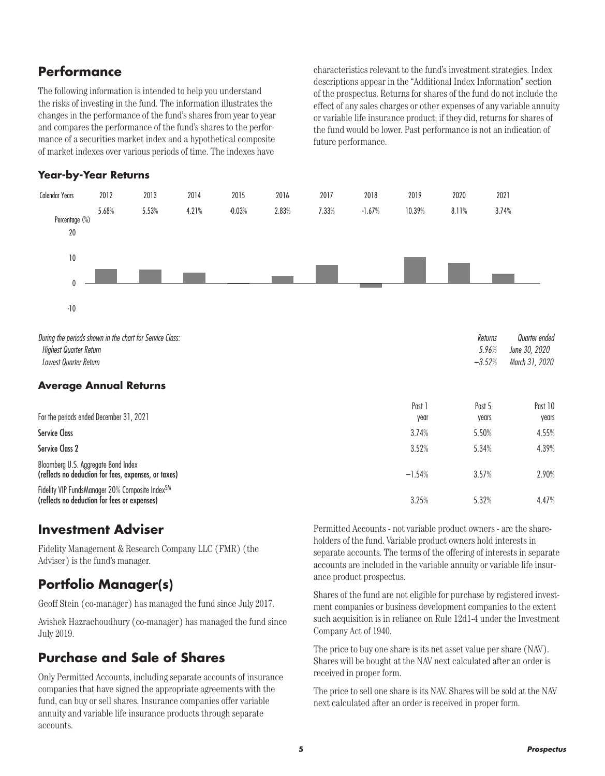### **Performance**

The following information is intended to help you understand the risks of investing in the fund. The information illustrates the changes in the performance of the fund's shares from year to year and compares the performance of the fund's shares to the performance of a securities market index and a hypothetical composite of market indexes over various periods of time. The indexes have

characteristics relevant to the fund's investment strategies. Index descriptions appear in the "Additional Index Information" section of the prospectus. Returns for shares of the fund do not include the effect of any sales charges or other expenses of any variable annuity or variable life insurance product; if they did, returns for shares of the fund would be lower. Past performance is not an indication of future performance.

#### **Year-by-Year Returns**



*During the periods shown in the chart for Service Class: Returns Quarter ended Highest Quarter Return 5.96% June 30, 2020 Lowest Quarter Return –3.52% March 31, 2020*

#### **Average Annual Returns**

|                                                                                                 | Past     | Past 5 | Past 10 |
|-------------------------------------------------------------------------------------------------|----------|--------|---------|
| For the periods ended December 31, 2021                                                         | year     | years  | years   |
| <b>Service Class</b>                                                                            | 3.74%    | 5.50%  | 4.55%   |
| Service Class 2                                                                                 | 3.52%    | 5.34%  | 4.39%   |
| Bloomberg U.S. Aggregate Bond Index<br>(reflects no deduction for fees, expenses, or taxes)     | $-1.54%$ | 3.57%  | 2.90%   |
| Fidelity VIP FundsManager 20% Composite IndexSM<br>(reflects no deduction for fees or expenses) | 3.25%    | 5.32%  | 4.47%   |

### **Investment Adviser**

Fidelity Management & Research Company LLC (FMR) (the Adviser) is the fund's manager.

### **Portfolio Manager(s)**

Geoff Stein (co-manager) has managed the fund since July 2017.

Avishek Hazrachoudhury (co-manager) has managed the fund since July 2019.

### **Purchase and Sale of Shares**

Only Permitted Accounts, including separate accounts of insurance companies that have signed the appropriate agreements with the fund, can buy or sell shares. Insurance companies offer variable annuity and variable life insurance products through separate accounts.

Permitted Accounts - not variable product owners - are the shareholders of the fund. Variable product owners hold interests in separate accounts. The terms of the offering of interests in separate accounts are included in the variable annuity or variable life insurance product prospectus.

Shares of the fund are not eligible for purchase by registered investment companies or business development companies to the extent such acquisition is in reliance on Rule 12d1-4 under the Investment Company Act of 1940.

The price to buy one share is its net asset value per share (NAV). Shares will be bought at the NAV next calculated after an order is received in proper form.

The price to sell one share is its NAV. Shares will be sold at the NAV next calculated after an order is received in proper form.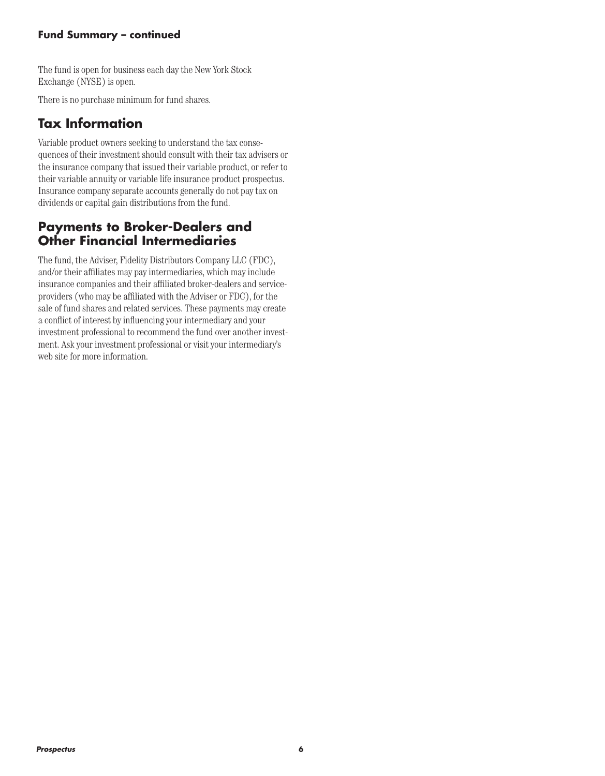#### **Fund Summary – continued**

The fund is open for business each day the New York Stock Exchange (NYSE) is open.

There is no purchase minimum for fund shares.

### **Tax Information**

Variable product owners seeking to understand the tax consequences of their investment should consult with their tax advisers or the insurance company that issued their variable product, or refer to their variable annuity or variable life insurance product prospectus. Insurance company separate accounts generally do not pay tax on dividends or capital gain distributions from the fund.

### **Payments to Broker-Dealers and Other Financial Intermediaries**

The fund, the Adviser, Fidelity Distributors Company LLC (FDC), and/or their affiliates may pay intermediaries, which may include insurance companies and their affiliated broker-dealers and serviceproviders (who may be affiliated with the Adviser or FDC), for the sale of fund shares and related services. These payments may create a conflict of interest by influencing your intermediary and your investment professional to recommend the fund over another investment. Ask your investment professional or visit your intermediary's web site for more information.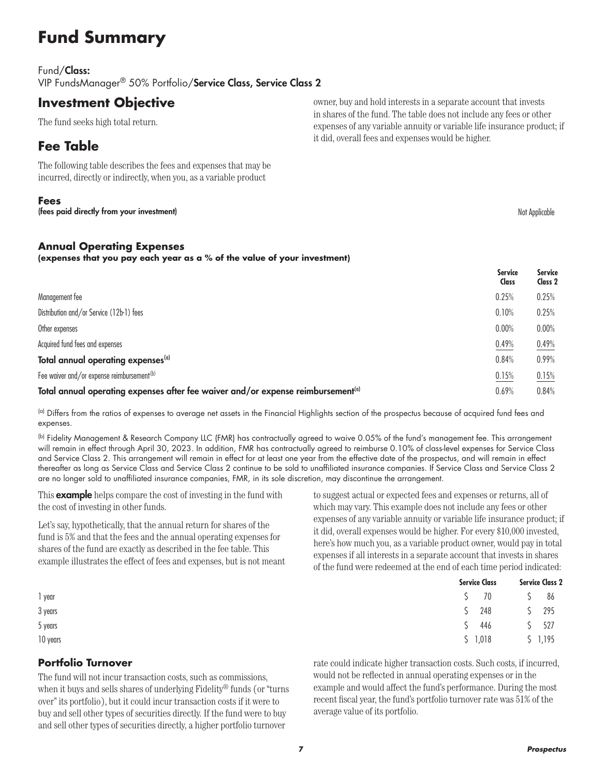# **Fund Summary**

#### Fund/Class:

VIP FundsManager® 50% Portfolio/Service Class, Service Class 2

### **Investment Objective**

The fund seeks high total return.

### **Fee Table**

The following table describes the fees and expenses that may be incurred, directly or indirectly, when you, as a variable product

#### **Fees**

(fees paid directly from your investment) and the state of the state of the state of the state of the state of the state of the state of the state of the state of the state of the state of the state of the state of the sta

#### **Annual Operating Expenses**

**(expenses that you pay each year as a % of the value of your investment)**

|                                                                                              | <b>Service</b><br><b>Class</b> | <b>Service</b><br>Class 2 |
|----------------------------------------------------------------------------------------------|--------------------------------|---------------------------|
| Management fee                                                                               | 0.25%                          | 0.25%                     |
| Distribution and/or Service (12b-1) fees                                                     | 0.10%                          | 0.25%                     |
| Other expenses                                                                               | 0.00%                          | 0.00%                     |
| Acquired fund fees and expenses                                                              | 0.49%                          | 0.49%                     |
| Total annual operating expenses <sup>(a)</sup>                                               | 0.84%                          | 0.99%                     |
| Fee waiver and/or expense reimbursement <sup>(b)</sup>                                       | 0.15%                          | 0.15%                     |
| Total annual operating expenses after fee waiver and/or expense reimbursement <sup>(a)</sup> | 0.69%                          | 0.84%                     |

(a) Differs from the ratios of expenses to average net assets in the Financial Highlights section of the prospectus because of acquired fund fees and expenses.

(b) Fidelity Management & Research Company LLC (FMR) has contractually agreed to waive 0.05% of the fund's management fee. This arrangement will remain in effect through April 30, 2023. In addition, FMR has contractually agreed to reimburse 0.10% of class-level expenses for Service Class and Service Class 2. This arrangement will remain in effect for at least one year from the effective date of the prospectus, and will remain in effect thereafter as long as Service Class and Service Class 2 continue to be sold to unaffiliated insurance companies. If Service Class and Service Class 2 are no longer sold to unaffiliated insurance companies, FMR, in its sole discretion, may discontinue the arrangement.

This **example** helps compare the cost of investing in the fund with the cost of investing in other funds.

Let's say, hypothetically, that the annual return for shares of the fund is 5% and that the fees and the annual operating expenses for shares of the fund are exactly as described in the fee table. This example illustrates the effect of fees and expenses, but is not meant to suggest actual or expected fees and expenses or returns, all of which may vary. This example does not include any fees or other expenses of any variable annuity or variable life insurance product; if it did, overall expenses would be higher. For every \$10,000 invested, here's how much you, as a variable product owner, would pay in total expenses if all interests in a separate account that invests in shares of the fund were redeemed at the end of each time period indicated:

|          | <b>Service Class</b> | <b>Service Class 2</b> |  |  |
|----------|----------------------|------------------------|--|--|
| 1 year   |                      | \$ 70 \$ 86            |  |  |
| 3 years  | $5$ 248              | $5$ 295                |  |  |
| 5 years  |                      | $$446$ $$527$          |  |  |
| 10 years |                      | $$1,018$ $$1,195$      |  |  |

#### **Portfolio Turnover**

The fund will not incur transaction costs, such as commissions, when it buys and sells shares of underlying Fidelity® funds (or "turns over" its portfolio), but it could incur transaction costs if it were to buy and sell other types of securities directly. If the fund were to buy and sell other types of securities directly, a higher portfolio turnover

rate could indicate higher transaction costs. Such costs, if incurred, would not be reflected in annual operating expenses or in the example and would affect the fund's performance. During the most recent fiscal year, the fund's portfolio turnover rate was 51% of the average value of its portfolio.

owner, buy and hold interests in a separate account that invests in shares of the fund. The table does not include any fees or other expenses of any variable annuity or variable life insurance product; if it did, overall fees and expenses would be higher.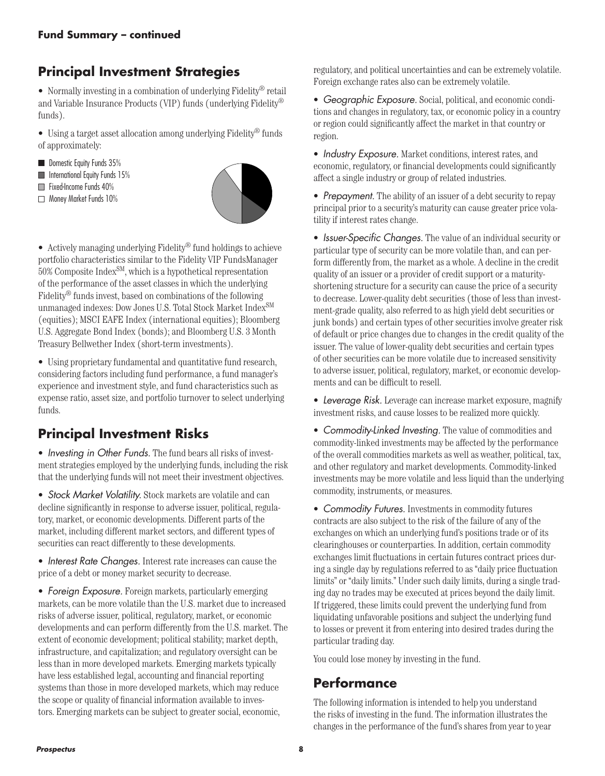# **Principal Investment Strategies**

• Normally investing in a combination of underlying Fidelity® retail and Variable Insurance Products (VIP) funds (underlying Fidelity® funds).

• Using a target asset allocation among underlying Fidelity® funds of approximately:

- Domestic Equity Funds 35%
- **International Equity Funds 15%**
- Fixed-Income Funds 40%
- Money Market Funds 10%



• Actively managing underlying Fidelity<sup>®</sup> fund holdings to achieve portfolio characteristics similar to the Fidelity VIP FundsManager  $50\%$  Composite Index<sup>SM</sup>, which is a hypothetical representation of the performance of the asset classes in which the underlying Fidelity® funds invest, based on combinations of the following unmanaged indexes: Dow Jones U.S. Total Stock Market Index<sup>SM</sup> (equities); MSCI EAFE Index (international equities); Bloomberg U.S. Aggregate Bond Index (bonds); and Bloomberg U.S. 3 Month Treasury Bellwether Index (short-term investments).

• Using proprietary fundamental and quantitative fund research, considering factors including fund performance, a fund manager's experience and investment style, and fund characteristics such as expense ratio, asset size, and portfolio turnover to select underlying funds.

## **Principal Investment Risks**

• *Investing in Other Funds.* The fund bears all risks of investment strategies employed by the underlying funds, including the risk that the underlying funds will not meet their investment objectives.

• *Stock Market Volatility.* Stock markets are volatile and can decline significantly in response to adverse issuer, political, regulatory, market, or economic developments. Different parts of the market, including different market sectors, and different types of securities can react differently to these developments.

• *Interest Rate Changes.* Interest rate increases can cause the price of a debt or money market security to decrease.

• *Foreign Exposure.* Foreign markets, particularly emerging markets, can be more volatile than the U.S. market due to increased risks of adverse issuer, political, regulatory, market, or economic developments and can perform differently from the U.S. market. The extent of economic development; political stability; market depth, infrastructure, and capitalization; and regulatory oversight can be less than in more developed markets. Emerging markets typically have less established legal, accounting and financial reporting systems than those in more developed markets, which may reduce the scope or quality of financial information available to investors. Emerging markets can be subject to greater social, economic,

regulatory, and political uncertainties and can be extremely volatile. Foreign exchange rates also can be extremely volatile.

• *Geographic Exposure.* Social, political, and economic conditions and changes in regulatory, tax, or economic policy in a country or region could significantly affect the market in that country or region.

• *Industry Exposure.* Market conditions, interest rates, and economic, regulatory, or financial developments could significantly affect a single industry or group of related industries.

• *Prepayment.* The ability of an issuer of a debt security to repay principal prior to a security's maturity can cause greater price volatility if interest rates change.

• *Issuer-Specific Changes.* The value of an individual security or particular type of security can be more volatile than, and can perform differently from, the market as a whole. A decline in the credit quality of an issuer or a provider of credit support or a maturityshortening structure for a security can cause the price of a security to decrease. Lower-quality debt securities (those of less than investment-grade quality, also referred to as high yield debt securities or junk bonds) and certain types of other securities involve greater risk of default or price changes due to changes in the credit quality of the issuer. The value of lower-quality debt securities and certain types of other securities can be more volatile due to increased sensitivity to adverse issuer, political, regulatory, market, or economic developments and can be difficult to resell.

• *Leverage Risk.* Leverage can increase market exposure, magnify investment risks, and cause losses to be realized more quickly.

• *Commodity-Linked Investing.* The value of commodities and commodity-linked investments may be affected by the performance of the overall commodities markets as well as weather, political, tax, and other regulatory and market developments. Commodity-linked investments may be more volatile and less liquid than the underlying commodity, instruments, or measures.

• *Commodity Futures.* Investments in commodity futures contracts are also subject to the risk of the failure of any of the exchanges on which an underlying fund's positions trade or of its clearinghouses or counterparties. In addition, certain commodity exchanges limit fluctuations in certain futures contract prices during a single day by regulations referred to as "daily price fluctuation limits" or "daily limits." Under such daily limits, during a single trading day no trades may be executed at prices beyond the daily limit. If triggered, these limits could prevent the underlying fund from liquidating unfavorable positions and subject the underlying fund to losses or prevent it from entering into desired trades during the particular trading day.

You could lose money by investing in the fund.

### **Performance**

The following information is intended to help you understand the risks of investing in the fund. The information illustrates the changes in the performance of the fund's shares from year to year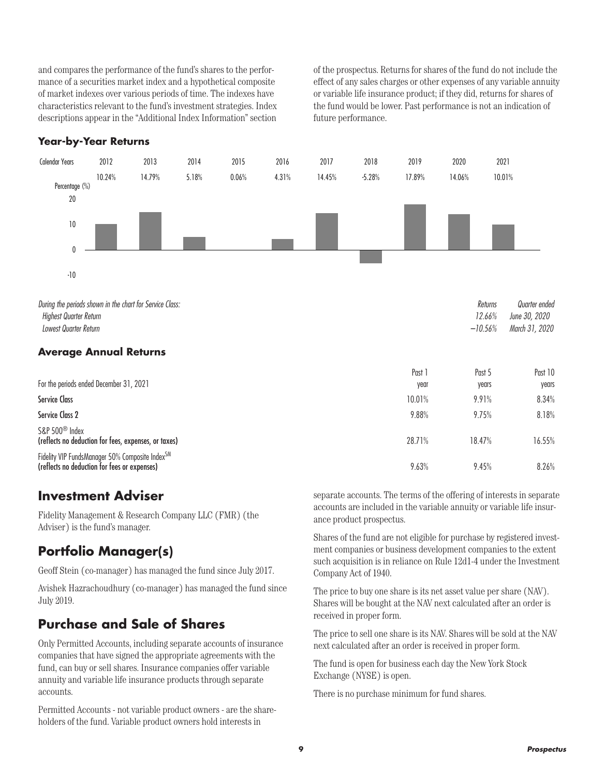and compares the performance of the fund's shares to the performance of a securities market index and a hypothetical composite of market indexes over various periods of time. The indexes have characteristics relevant to the fund's investment strategies. Index descriptions appear in the "Additional Index Information" section of the prospectus. Returns for shares of the fund do not include the effect of any sales charges or other expenses of any variable annuity or variable life insurance product; if they did, returns for shares of the fund would be lower. Past performance is not an indication of future performance.

#### **Year-by-Year Returns**



Fidelity VIP FundsManager 50% Composite IndexSM (reflects no deduction for fees or expenses) 9.63% 9.45% 8.26%

### **Investment Adviser**

Fidelity Management & Research Company LLC (FMR) (the Adviser) is the fund's manager.

## **Portfolio Manager(s)**

Geoff Stein (co-manager) has managed the fund since July 2017.

Avishek Hazrachoudhury (co-manager) has managed the fund since July 2019.

### **Purchase and Sale of Shares**

Only Permitted Accounts, including separate accounts of insurance companies that have signed the appropriate agreements with the fund, can buy or sell shares. Insurance companies offer variable annuity and variable life insurance products through separate accounts.

Permitted Accounts - not variable product owners - are the shareholders of the fund. Variable product owners hold interests in

separate accounts. The terms of the offering of interests in separate accounts are included in the variable annuity or variable life insurance product prospectus.

Shares of the fund are not eligible for purchase by registered investment companies or business development companies to the extent such acquisition is in reliance on Rule 12d1-4 under the Investment Company Act of 1940.

The price to buy one share is its net asset value per share (NAV). Shares will be bought at the NAV next calculated after an order is received in proper form.

The price to sell one share is its NAV. Shares will be sold at the NAV next calculated after an order is received in proper form.

The fund is open for business each day the New York Stock Exchange (NYSE) is open.

There is no purchase minimum for fund shares.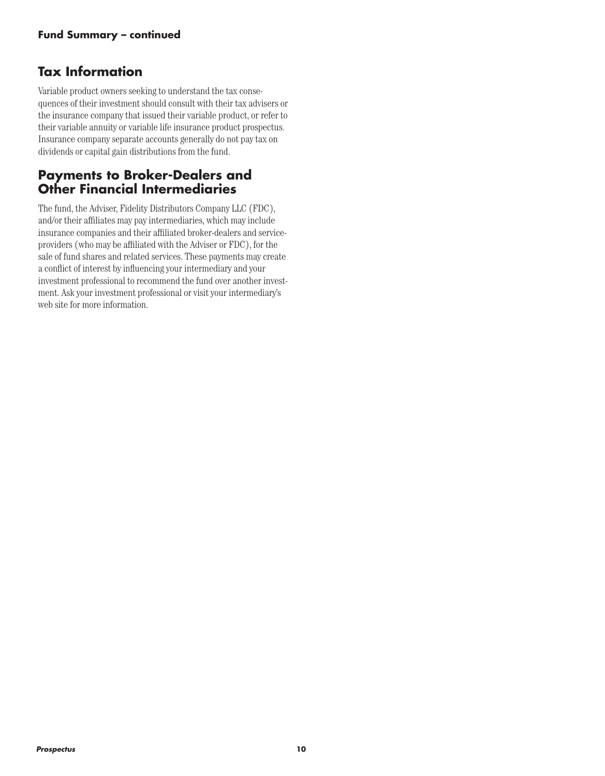### **Tax Information**

Variable product owners seeking to understand the tax consequences of their investment should consult with their tax advisers or the insurance company that issued their variable product, or refer to their variable annuity or variable life insurance product prospectus. Insurance company separate accounts generally do not pay tax on dividends or capital gain distributions from the fund.

### **Payments to Broker-Dealers and Other Financial Intermediaries**

The fund, the Adviser, Fidelity Distributors Company LLC (FDC), and/or their affiliates may pay intermediaries, which may include insurance companies and their affiliated broker-dealers and serviceproviders (who may be affiliated with the Adviser or FDC), for the sale of fund shares and related services. These payments may create a conflict of interest by influencing your intermediary and your investment professional to recommend the fund over another investment. Ask your investment professional or visit your intermediary's web site for more information.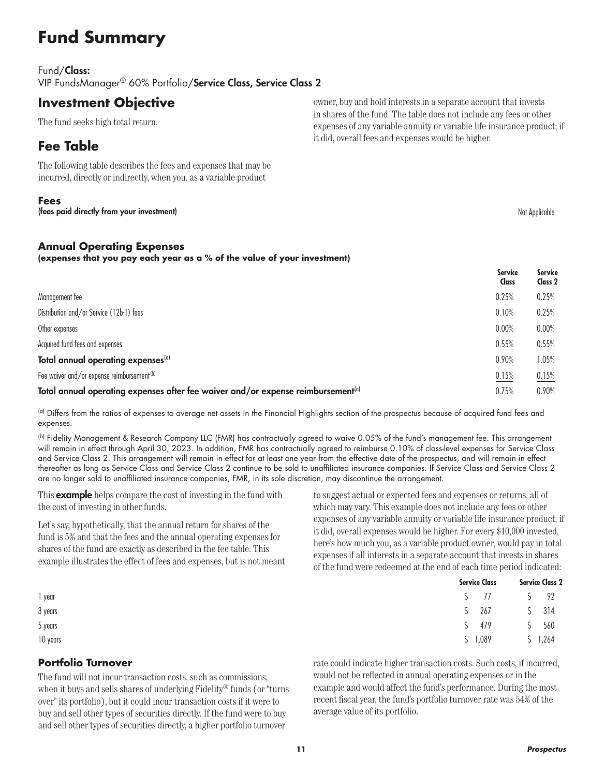# **Fund Summary**

#### Fund/Class:

VIP FundsManager® 60% Portfolio/Service Class, Service Class 2

### **Investment Objective**

The fund seeks high total return.

### **Fee Table**

The following table describes the fees and expenses that may be incurred, directly or indirectly, when you, as a variable product

#### **Fees**

(fees paid directly from your investment) and the state of the state of the state of the state of the state of the state of the state of the state of the state of the state of the state of the state of the state of the sta

#### **Annual Operating Expenses**

**(expenses that you pay each year as a % of the value of your investment)**

|                                                                                              | <b>Service</b><br><b>Class</b> | <b>Service</b><br>Class 2 |
|----------------------------------------------------------------------------------------------|--------------------------------|---------------------------|
| Management fee                                                                               | 0.25%                          | 0.25%                     |
| Distribution and/or Service (12b-1) fees                                                     | 0.10%                          | 0.25%                     |
| Other expenses                                                                               | 0.00%                          | 0.00%                     |
| Acquired fund fees and expenses                                                              | 0.55%                          | 0.55%                     |
| Total annual operating expenses <sup>(a)</sup>                                               | 0.90%                          | 1.05%                     |
| Fee waiver and/or expense reimbursement <sup>(b)</sup>                                       | 0.15%                          | 0.15%                     |
| Total annual operating expenses after fee waiver and/or expense reimbursement <sup>(a)</sup> | 0.75%                          | 0.90%                     |

(a) Differs from the ratios of expenses to average net assets in the Financial Highlights section of the prospectus because of acquired fund fees and expenses.

(b) Fidelity Management & Research Company LLC (FMR) has contractually agreed to waive 0.05% of the fund's management fee. This arrangement will remain in effect through April 30, 2023. In addition, FMR has contractually agreed to reimburse 0.10% of class-level expenses for Service Class and Service Class 2. This arrangement will remain in effect for at least one year from the effective date of the prospectus, and will remain in effect thereafter as long as Service Class and Service Class 2 continue to be sold to unaffiliated insurance companies. If Service Class and Service Class 2 are no longer sold to unaffiliated insurance companies, FMR, in its sole discretion, may discontinue the arrangement.

This **example** helps compare the cost of investing in the fund with the cost of investing in other funds.

Let's say, hypothetically, that the annual return for shares of the fund is 5% and that the fees and the annual operating expenses for shares of the fund are exactly as described in the fee table. This example illustrates the effect of fees and expenses, but is not meant to suggest actual or expected fees and expenses or returns, all of which may vary. This example does not include any fees or other expenses of any variable annuity or variable life insurance product; if it did, overall expenses would be higher. For every \$10,000 invested, here's how much you, as a variable product owner, would pay in total expenses if all interests in a separate account that invests in shares of the fund were redeemed at the end of each time period indicated:

|          | <b>Service Class</b> | <b>Service Class 2</b>                                     |  |  |
|----------|----------------------|------------------------------------------------------------|--|--|
| 1 year   |                      | $\begin{array}{ccccc} \zeta & 77 & \zeta & 92 \end{array}$ |  |  |
| 3 years  |                      | $$267$ $$314$                                              |  |  |
| 5 years  | $5 \t 479$           | 5 560                                                      |  |  |
| 10 years | \$1,089              | \$1,264                                                    |  |  |

#### **Portfolio Turnover**

The fund will not incur transaction costs, such as commissions, when it buys and sells shares of underlying Fidelity® funds (or "turns over" its portfolio), but it could incur transaction costs if it were to buy and sell other types of securities directly. If the fund were to buy and sell other types of securities directly, a higher portfolio turnover

rate could indicate higher transaction costs. Such costs, if incurred, would not be reflected in annual operating expenses or in the example and would affect the fund's performance. During the most recent fiscal year, the fund's portfolio turnover rate was 54% of the average value of its portfolio.

owner, buy and hold interests in a separate account that invests in shares of the fund. The table does not include any fees or other expenses of any variable annuity or variable life insurance product; if it did, overall fees and expenses would be higher.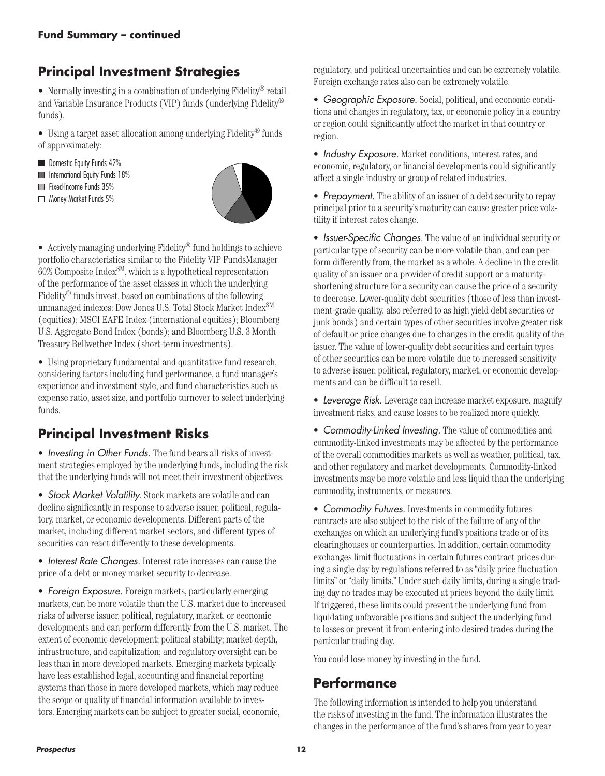# **Principal Investment Strategies**

• Normally investing in a combination of underlying Fidelity® retail and Variable Insurance Products (VIP) funds (underlying Fidelity® funds).

• Using a target asset allocation among underlying Fidelity® funds of approximately:

- Domestic Equity Funds 42%
- **International Equity Funds 18%**
- Fixed-Income Funds 35%
- Money Market Funds 5%



• Actively managing underlying Fidelity<sup>®</sup> fund holdings to achieve portfolio characteristics similar to the Fidelity VIP FundsManager  $60\%$  Composite Index<sup>SM</sup>, which is a hypothetical representation of the performance of the asset classes in which the underlying Fidelity® funds invest, based on combinations of the following unmanaged indexes: Dow Jones U.S. Total Stock Market Index<sup>SM</sup> (equities); MSCI EAFE Index (international equities); Bloomberg U.S. Aggregate Bond Index (bonds); and Bloomberg U.S. 3 Month Treasury Bellwether Index (short-term investments).

• Using proprietary fundamental and quantitative fund research, considering factors including fund performance, a fund manager's experience and investment style, and fund characteristics such as expense ratio, asset size, and portfolio turnover to select underlying funds.

## **Principal Investment Risks**

• *Investing in Other Funds.* The fund bears all risks of investment strategies employed by the underlying funds, including the risk that the underlying funds will not meet their investment objectives.

• *Stock Market Volatility.* Stock markets are volatile and can decline significantly in response to adverse issuer, political, regulatory, market, or economic developments. Different parts of the market, including different market sectors, and different types of securities can react differently to these developments.

• *Interest Rate Changes.* Interest rate increases can cause the price of a debt or money market security to decrease.

• *Foreign Exposure.* Foreign markets, particularly emerging markets, can be more volatile than the U.S. market due to increased risks of adverse issuer, political, regulatory, market, or economic developments and can perform differently from the U.S. market. The extent of economic development; political stability; market depth, infrastructure, and capitalization; and regulatory oversight can be less than in more developed markets. Emerging markets typically have less established legal, accounting and financial reporting systems than those in more developed markets, which may reduce the scope or quality of financial information available to investors. Emerging markets can be subject to greater social, economic,

regulatory, and political uncertainties and can be extremely volatile. Foreign exchange rates also can be extremely volatile.

• *Geographic Exposure.* Social, political, and economic conditions and changes in regulatory, tax, or economic policy in a country or region could significantly affect the market in that country or region.

• *Industry Exposure.* Market conditions, interest rates, and economic, regulatory, or financial developments could significantly affect a single industry or group of related industries.

• *Prepayment.* The ability of an issuer of a debt security to repay principal prior to a security's maturity can cause greater price volatility if interest rates change.

• *Issuer-Specific Changes.* The value of an individual security or particular type of security can be more volatile than, and can perform differently from, the market as a whole. A decline in the credit quality of an issuer or a provider of credit support or a maturityshortening structure for a security can cause the price of a security to decrease. Lower-quality debt securities (those of less than investment-grade quality, also referred to as high yield debt securities or junk bonds) and certain types of other securities involve greater risk of default or price changes due to changes in the credit quality of the issuer. The value of lower-quality debt securities and certain types of other securities can be more volatile due to increased sensitivity to adverse issuer, political, regulatory, market, or economic developments and can be difficult to resell.

• *Leverage Risk.* Leverage can increase market exposure, magnify investment risks, and cause losses to be realized more quickly.

• *Commodity-Linked Investing.* The value of commodities and commodity-linked investments may be affected by the performance of the overall commodities markets as well as weather, political, tax, and other regulatory and market developments. Commodity-linked investments may be more volatile and less liquid than the underlying commodity, instruments, or measures.

• *Commodity Futures.* Investments in commodity futures contracts are also subject to the risk of the failure of any of the exchanges on which an underlying fund's positions trade or of its clearinghouses or counterparties. In addition, certain commodity exchanges limit fluctuations in certain futures contract prices during a single day by regulations referred to as "daily price fluctuation limits" or "daily limits." Under such daily limits, during a single trading day no trades may be executed at prices beyond the daily limit. If triggered, these limits could prevent the underlying fund from liquidating unfavorable positions and subject the underlying fund to losses or prevent it from entering into desired trades during the particular trading day.

You could lose money by investing in the fund.

### **Performance**

The following information is intended to help you understand the risks of investing in the fund. The information illustrates the changes in the performance of the fund's shares from year to year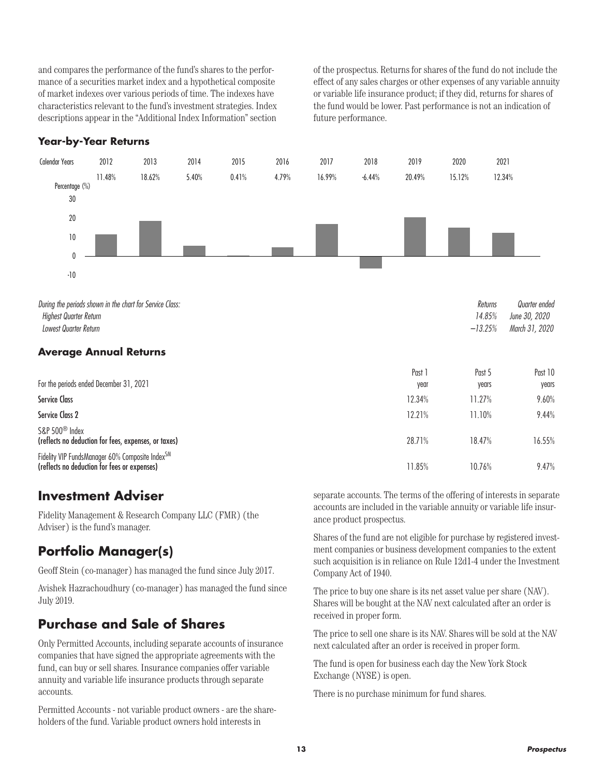and compares the performance of the fund's shares to the performance of a securities market index and a hypothetical composite of market indexes over various periods of time. The indexes have characteristics relevant to the fund's investment strategies. Index descriptions appear in the "Additional Index Information" section

of the prospectus. Returns for shares of the fund do not include the effect of any sales charges or other expenses of any variable annuity or variable life insurance product; if they did, returns for shares of the fund would be lower. Past performance is not an indication of future performance.

#### **Year-by-Year Returns**



#### **Average Annual Returns**

| For the periods ended December 31, 2021                                                         | Past 1<br>year | Past 5<br>years | Past 10<br>years |
|-------------------------------------------------------------------------------------------------|----------------|-----------------|------------------|
| <b>Service Class</b>                                                                            | 12.34%         | 11.27%          | 9.60%            |
| Service Class 2                                                                                 | 12.21%         | 11.10%          | 9.44%            |
| S&P 500 <sup>®</sup> Index<br>(reflects no deduction for fees, expenses, or taxes)              | 28.71%         | 18.47%          | 16.55%           |
| Fidelity VIP FundsManager 60% Composite IndexSM<br>(reflects no deduction for fees or expenses) | 11.85%         | 10.76%          | 9.47%            |

### **Investment Adviser**

Fidelity Management & Research Company LLC (FMR) (the Adviser) is the fund's manager.

### **Portfolio Manager(s)**

Geoff Stein (co-manager) has managed the fund since July 2017.

Avishek Hazrachoudhury (co-manager) has managed the fund since July 2019.

### **Purchase and Sale of Shares**

Only Permitted Accounts, including separate accounts of insurance companies that have signed the appropriate agreements with the fund, can buy or sell shares. Insurance companies offer variable annuity and variable life insurance products through separate accounts.

Permitted Accounts - not variable product owners - are the shareholders of the fund. Variable product owners hold interests in

separate accounts. The terms of the offering of interests in separate accounts are included in the variable annuity or variable life insurance product prospectus.

Shares of the fund are not eligible for purchase by registered investment companies or business development companies to the extent such acquisition is in reliance on Rule 12d1-4 under the Investment Company Act of 1940.

The price to buy one share is its net asset value per share (NAV). Shares will be bought at the NAV next calculated after an order is received in proper form.

The price to sell one share is its NAV. Shares will be sold at the NAV next calculated after an order is received in proper form.

The fund is open for business each day the New York Stock Exchange (NYSE) is open.

There is no purchase minimum for fund shares.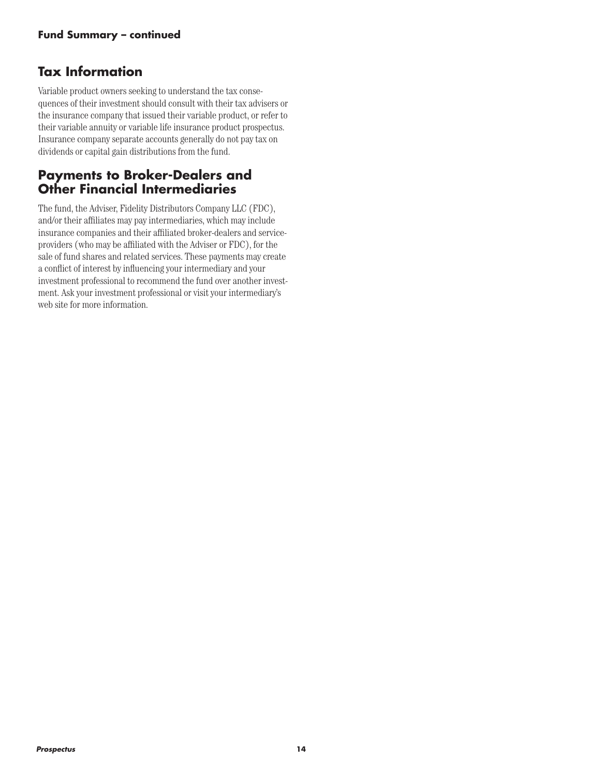### **Tax Information**

Variable product owners seeking to understand the tax consequences of their investment should consult with their tax advisers or the insurance company that issued their variable product, or refer to their variable annuity or variable life insurance product prospectus. Insurance company separate accounts generally do not pay tax on dividends or capital gain distributions from the fund.

### **Payments to Broker-Dealers and Other Financial Intermediaries**

The fund, the Adviser, Fidelity Distributors Company LLC (FDC), and/or their affiliates may pay intermediaries, which may include insurance companies and their affiliated broker-dealers and serviceproviders (who may be affiliated with the Adviser or FDC), for the sale of fund shares and related services. These payments may create a conflict of interest by influencing your intermediary and your investment professional to recommend the fund over another investment. Ask your investment professional or visit your intermediary's web site for more information.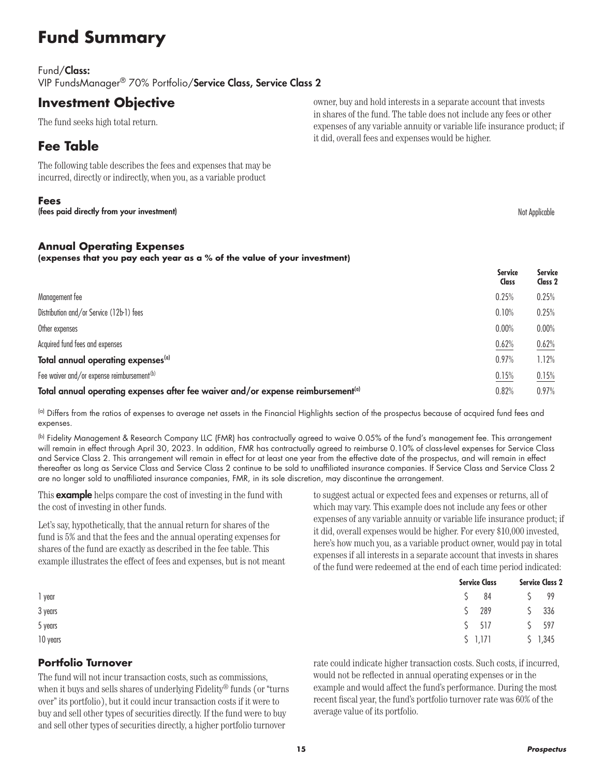# **Fund Summary**

#### Fund/Class:

VIP FundsManager® 70% Portfolio/Service Class, Service Class 2

### **Investment Objective**

The fund seeks high total return.

### **Fee Table**

The following table describes the fees and expenses that may be incurred, directly or indirectly, when you, as a variable product

#### **Fees**

(fees paid directly from your investment) and the state of the state of the state of the state of the state of the state of the state of the state of the state of the state of the state of the state of the state of the sta

#### **Annual Operating Expenses**

**(expenses that you pay each year as a % of the value of your investment)**

|                                                                                              | <b>Service</b><br><b>Class</b> | <b>Service</b><br>Class 2 |
|----------------------------------------------------------------------------------------------|--------------------------------|---------------------------|
| Management fee                                                                               | 0.25%                          | 0.25%                     |
| Distribution and/or Service (12b-1) fees                                                     | 0.10%                          | 0.25%                     |
| Other expenses                                                                               | 0.00%                          | 0.00%                     |
| Acquired fund fees and expenses                                                              | 0.62%                          | 0.62%                     |
| Total annual operating expenses <sup>(a)</sup>                                               | 0.97%                          | 1.12%                     |
| Fee waiver and/or expense reimbursement <sup>(b)</sup>                                       | 0.15%                          | 0.15%                     |
| Total annual operating expenses after fee waiver and/or expense reimbursement <sup>(a)</sup> | 0.82%                          | 0.97%                     |

(a) Differs from the ratios of expenses to average net assets in the Financial Highlights section of the prospectus because of acquired fund fees and expenses.

(b) Fidelity Management & Research Company LLC (FMR) has contractually agreed to waive 0.05% of the fund's management fee. This arrangement will remain in effect through April 30, 2023. In addition, FMR has contractually agreed to reimburse 0.10% of class-level expenses for Service Class and Service Class 2. This arrangement will remain in effect for at least one year from the effective date of the prospectus, and will remain in effect thereafter as long as Service Class and Service Class 2 continue to be sold to unaffiliated insurance companies. If Service Class and Service Class 2 are no longer sold to unaffiliated insurance companies, FMR, in its sole discretion, may discontinue the arrangement.

This **example** helps compare the cost of investing in the fund with the cost of investing in other funds.

Let's say, hypothetically, that the annual return for shares of the fund is 5% and that the fees and the annual operating expenses for shares of the fund are exactly as described in the fee table. This example illustrates the effect of fees and expenses, but is not meant to suggest actual or expected fees and expenses or returns, all of which may vary. This example does not include any fees or other expenses of any variable annuity or variable life insurance product; if it did, overall expenses would be higher. For every \$10,000 invested, here's how much you, as a variable product owner, would pay in total expenses if all interests in a separate account that invests in shares of the fund were redeemed at the end of each time period indicated:

|          |  | <b>Service Class</b>                   |  | <b>Service Class 2</b> |  |
|----------|--|----------------------------------------|--|------------------------|--|
| 1 year   |  | $\begin{array}{cc} 5 & 84 \end{array}$ |  | S 99                   |  |
| 3 years  |  | $$289$ $$336$                          |  |                        |  |
| 5 years  |  | $5 \quad 517$                          |  | S 597                  |  |
| 10 years |  | $5$ 1,171                              |  | \$1,345                |  |

#### **Portfolio Turnover**

The fund will not incur transaction costs, such as commissions, when it buys and sells shares of underlying Fidelity® funds (or "turns over" its portfolio), but it could incur transaction costs if it were to buy and sell other types of securities directly. If the fund were to buy and sell other types of securities directly, a higher portfolio turnover

rate could indicate higher transaction costs. Such costs, if incurred, would not be reflected in annual operating expenses or in the example and would affect the fund's performance. During the most recent fiscal year, the fund's portfolio turnover rate was 60% of the average value of its portfolio.

owner, buy and hold interests in a separate account that invests in shares of the fund. The table does not include any fees or other expenses of any variable annuity or variable life insurance product; if it did, overall fees and expenses would be higher.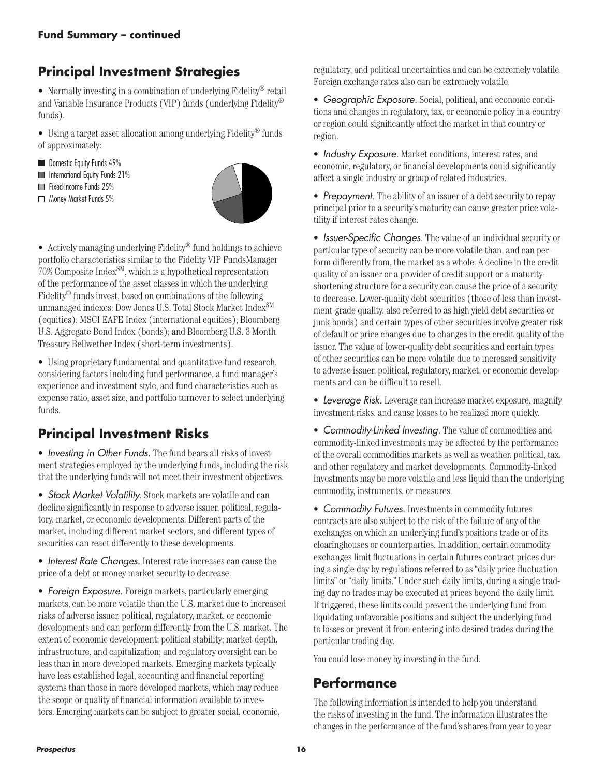# **Principal Investment Strategies**

• Normally investing in a combination of underlying Fidelity® retail and Variable Insurance Products (VIP) funds (underlying Fidelity® funds).

• Using a target asset allocation among underlying Fidelity® funds of approximately:

- Domestic Equity Funds 49%
- **International Equity Funds 21%**
- Fixed-Income Funds 25%
- Money Market Funds 5%



• Actively managing underlying Fidelity<sup>®</sup> fund holdings to achieve portfolio characteristics similar to the Fidelity VIP FundsManager 70% Composite IndexSM, which is a hypothetical representation of the performance of the asset classes in which the underlying Fidelity® funds invest, based on combinations of the following unmanaged indexes: Dow Jones U.S. Total Stock Market Index<sup>SM</sup> (equities); MSCI EAFE Index (international equities); Bloomberg U.S. Aggregate Bond Index (bonds); and Bloomberg U.S. 3 Month Treasury Bellwether Index (short-term investments).

• Using proprietary fundamental and quantitative fund research, considering factors including fund performance, a fund manager's experience and investment style, and fund characteristics such as expense ratio, asset size, and portfolio turnover to select underlying funds.

## **Principal Investment Risks**

• *Investing in Other Funds.* The fund bears all risks of investment strategies employed by the underlying funds, including the risk that the underlying funds will not meet their investment objectives.

• *Stock Market Volatility.* Stock markets are volatile and can decline significantly in response to adverse issuer, political, regulatory, market, or economic developments. Different parts of the market, including different market sectors, and different types of securities can react differently to these developments.

• *Interest Rate Changes.* Interest rate increases can cause the price of a debt or money market security to decrease.

• *Foreign Exposure.* Foreign markets, particularly emerging markets, can be more volatile than the U.S. market due to increased risks of adverse issuer, political, regulatory, market, or economic developments and can perform differently from the U.S. market. The extent of economic development; political stability; market depth, infrastructure, and capitalization; and regulatory oversight can be less than in more developed markets. Emerging markets typically have less established legal, accounting and financial reporting systems than those in more developed markets, which may reduce the scope or quality of financial information available to investors. Emerging markets can be subject to greater social, economic,

regulatory, and political uncertainties and can be extremely volatile. Foreign exchange rates also can be extremely volatile.

• *Geographic Exposure.* Social, political, and economic conditions and changes in regulatory, tax, or economic policy in a country or region could significantly affect the market in that country or region.

• *Industry Exposure.* Market conditions, interest rates, and economic, regulatory, or financial developments could significantly affect a single industry or group of related industries.

• *Prepayment.* The ability of an issuer of a debt security to repay principal prior to a security's maturity can cause greater price volatility if interest rates change.

• *Issuer-Specific Changes.* The value of an individual security or particular type of security can be more volatile than, and can perform differently from, the market as a whole. A decline in the credit quality of an issuer or a provider of credit support or a maturityshortening structure for a security can cause the price of a security to decrease. Lower-quality debt securities (those of less than investment-grade quality, also referred to as high yield debt securities or junk bonds) and certain types of other securities involve greater risk of default or price changes due to changes in the credit quality of the issuer. The value of lower-quality debt securities and certain types of other securities can be more volatile due to increased sensitivity to adverse issuer, political, regulatory, market, or economic developments and can be difficult to resell.

• *Leverage Risk.* Leverage can increase market exposure, magnify investment risks, and cause losses to be realized more quickly.

• *Commodity-Linked Investing.* The value of commodities and commodity-linked investments may be affected by the performance of the overall commodities markets as well as weather, political, tax, and other regulatory and market developments. Commodity-linked investments may be more volatile and less liquid than the underlying commodity, instruments, or measures.

• *Commodity Futures.* Investments in commodity futures contracts are also subject to the risk of the failure of any of the exchanges on which an underlying fund's positions trade or of its clearinghouses or counterparties. In addition, certain commodity exchanges limit fluctuations in certain futures contract prices during a single day by regulations referred to as "daily price fluctuation limits" or "daily limits." Under such daily limits, during a single trading day no trades may be executed at prices beyond the daily limit. If triggered, these limits could prevent the underlying fund from liquidating unfavorable positions and subject the underlying fund to losses or prevent it from entering into desired trades during the particular trading day.

You could lose money by investing in the fund.

### **Performance**

The following information is intended to help you understand the risks of investing in the fund. The information illustrates the changes in the performance of the fund's shares from year to year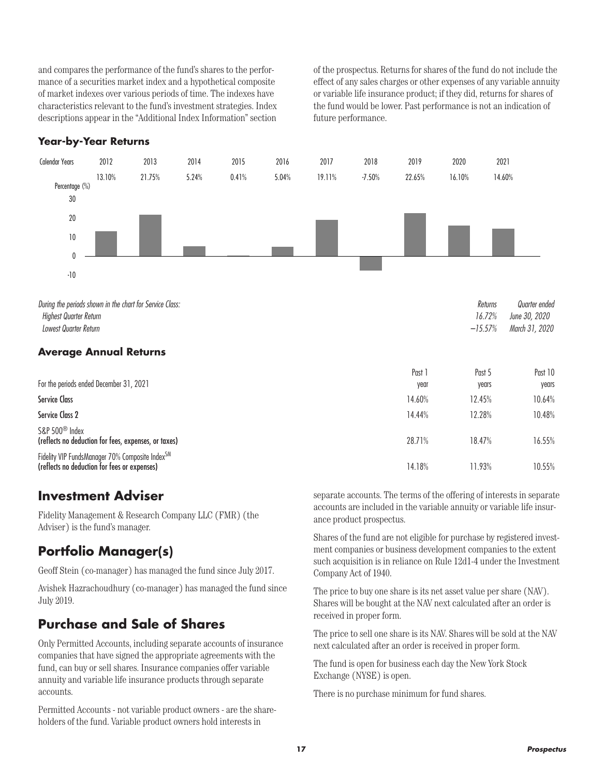and compares the performance of the fund's shares to the performance of a securities market index and a hypothetical composite of market indexes over various periods of time. The indexes have characteristics relevant to the fund's investment strategies. Index descriptions appear in the "Additional Index Information" section

of the prospectus. Returns for shares of the fund do not include the effect of any sales charges or other expenses of any variable annuity or variable life insurance product; if they did, returns for shares of the fund would be lower. Past performance is not an indication of future performance.

#### **Year-by-Year Returns**



| For the periods ended December 31, 2021                                                                     | Past 1         | Past 5          | Past 10         |
|-------------------------------------------------------------------------------------------------------------|----------------|-----------------|-----------------|
| <b>Service Class</b>                                                                                        | year<br>14.60% | years<br>12.45% | years<br>10.64% |
| Service Class 2                                                                                             | 14.44%         | 12.28%          | 10.48%          |
| S&P 500 <sup>®</sup> Index<br>(reflects no deduction for fees, expenses, or taxes)                          | 28.71%         | 18.47%          | 16.55%          |
| Fidelity VIP FundsManager 70% Composite Index <sup>SM</sup><br>(reflects no deduction for fees or expenses) | 14.18%         | 11.93%          | 10.55%          |

### **Investment Adviser**

Fidelity Management & Research Company LLC (FMR) (the Adviser) is the fund's manager.

## **Portfolio Manager(s)**

Geoff Stein (co-manager) has managed the fund since July 2017.

Avishek Hazrachoudhury (co-manager) has managed the fund since July 2019.

### **Purchase and Sale of Shares**

Only Permitted Accounts, including separate accounts of insurance companies that have signed the appropriate agreements with the fund, can buy or sell shares. Insurance companies offer variable annuity and variable life insurance products through separate accounts.

Permitted Accounts - not variable product owners - are the shareholders of the fund. Variable product owners hold interests in

separate accounts. The terms of the offering of interests in separate accounts are included in the variable annuity or variable life insurance product prospectus.

Shares of the fund are not eligible for purchase by registered investment companies or business development companies to the extent such acquisition is in reliance on Rule 12d1-4 under the Investment Company Act of 1940.

The price to buy one share is its net asset value per share (NAV). Shares will be bought at the NAV next calculated after an order is received in proper form.

The price to sell one share is its NAV. Shares will be sold at the NAV next calculated after an order is received in proper form.

The fund is open for business each day the New York Stock Exchange (NYSE) is open.

There is no purchase minimum for fund shares.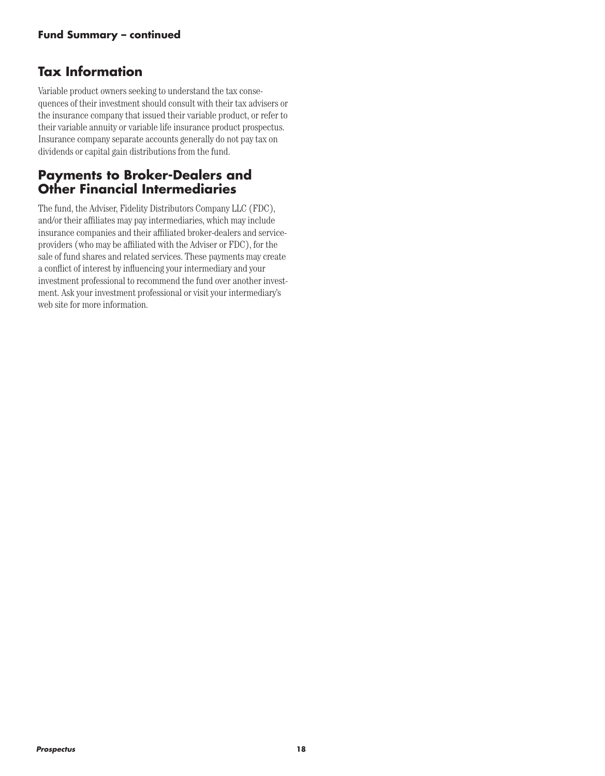### **Tax Information**

Variable product owners seeking to understand the tax consequences of their investment should consult with their tax advisers or the insurance company that issued their variable product, or refer to their variable annuity or variable life insurance product prospectus. Insurance company separate accounts generally do not pay tax on dividends or capital gain distributions from the fund.

### **Payments to Broker-Dealers and Other Financial Intermediaries**

The fund, the Adviser, Fidelity Distributors Company LLC (FDC), and/or their affiliates may pay intermediaries, which may include insurance companies and their affiliated broker-dealers and serviceproviders (who may be affiliated with the Adviser or FDC), for the sale of fund shares and related services. These payments may create a conflict of interest by influencing your intermediary and your investment professional to recommend the fund over another investment. Ask your investment professional or visit your intermediary's web site for more information.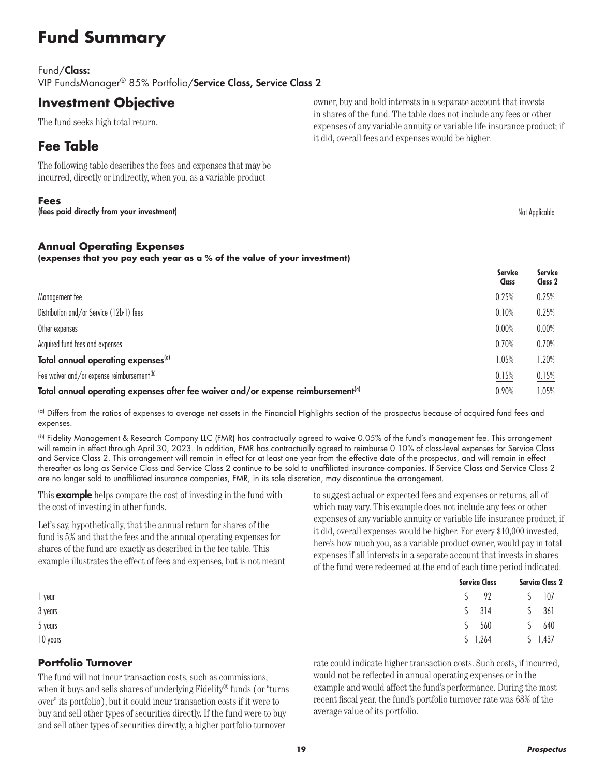# **Fund Summary**

#### Fund/Class:

VIP FundsManager® 85% Portfolio/Service Class, Service Class 2

### **Investment Objective**

The fund seeks high total return.

### **Fee Table**

The following table describes the fees and expenses that may be incurred, directly or indirectly, when you, as a variable product

#### **Fees**

(fees paid directly from your investment) and the state of the state of the state of the state of the state of the state of the state of the state of the state of the state of the state of the state of the state of the sta

#### **Annual Operating Expenses**

**(expenses that you pay each year as a % of the value of your investment)**

|                                                                                              | <b>Service</b><br>Class | <b>Service</b><br>Class 2 |
|----------------------------------------------------------------------------------------------|-------------------------|---------------------------|
| Management fee                                                                               | 0.25%                   | 0.25%                     |
| Distribution and/or Service (12b-1) fees                                                     | 0.10%                   | 0.25%                     |
| Other expenses                                                                               | 0.00%                   | 0.00%                     |
| Acquired fund fees and expenses                                                              | 0.70%                   | 0.70%                     |
| Total annual operating expenses <sup>(a)</sup>                                               | 1.05%                   | 1.20%                     |
| Fee waiver and/or expense reimbursement <sup>(b)</sup>                                       | 0.15%                   | 0.15%                     |
| Total annual operating expenses after fee waiver and/or expense reimbursement <sup>(a)</sup> | 0.90%                   | $1.05\%$                  |

(a) Differs from the ratios of expenses to average net assets in the Financial Highlights section of the prospectus because of acquired fund fees and expenses.

(b) Fidelity Management & Research Company LLC (FMR) has contractually agreed to waive 0.05% of the fund's management fee. This arrangement will remain in effect through April 30, 2023. In addition, FMR has contractually agreed to reimburse 0.10% of class-level expenses for Service Class and Service Class 2. This arrangement will remain in effect for at least one year from the effective date of the prospectus, and will remain in effect thereafter as long as Service Class and Service Class 2 continue to be sold to unaffiliated insurance companies. If Service Class and Service Class 2 are no longer sold to unaffiliated insurance companies, FMR, in its sole discretion, may discontinue the arrangement.

This **example** helps compare the cost of investing in the fund with the cost of investing in other funds.

Let's say, hypothetically, that the annual return for shares of the fund is 5% and that the fees and the annual operating expenses for shares of the fund are exactly as described in the fee table. This example illustrates the effect of fees and expenses, but is not meant to suggest actual or expected fees and expenses or returns, all of which may vary. This example does not include any fees or other expenses of any variable annuity or variable life insurance product; if it did, overall expenses would be higher. For every \$10,000 invested, here's how much you, as a variable product owner, would pay in total expenses if all interests in a separate account that invests in shares of the fund were redeemed at the end of each time period indicated:

|          | <b>Service Class</b> | <b>Service Class 2</b> |  |  |
|----------|----------------------|------------------------|--|--|
| 1 year   | $5 \t 92$            | $5 \t 107$             |  |  |
| 3 years  | \$314                | \$361                  |  |  |
| 5 years  | 5 560                | 5 640                  |  |  |
| 10 years | \$1,264              | \$1,437                |  |  |

#### **Portfolio Turnover**

The fund will not incur transaction costs, such as commissions, when it buys and sells shares of underlying Fidelity® funds (or "turns over" its portfolio), but it could incur transaction costs if it were to buy and sell other types of securities directly. If the fund were to buy and sell other types of securities directly, a higher portfolio turnover

rate could indicate higher transaction costs. Such costs, if incurred, would not be reflected in annual operating expenses or in the example and would affect the fund's performance. During the most recent fiscal year, the fund's portfolio turnover rate was 68% of the average value of its portfolio.

owner, buy and hold interests in a separate account that invests in shares of the fund. The table does not include any fees or other expenses of any variable annuity or variable life insurance product; if it did, overall fees and expenses would be higher.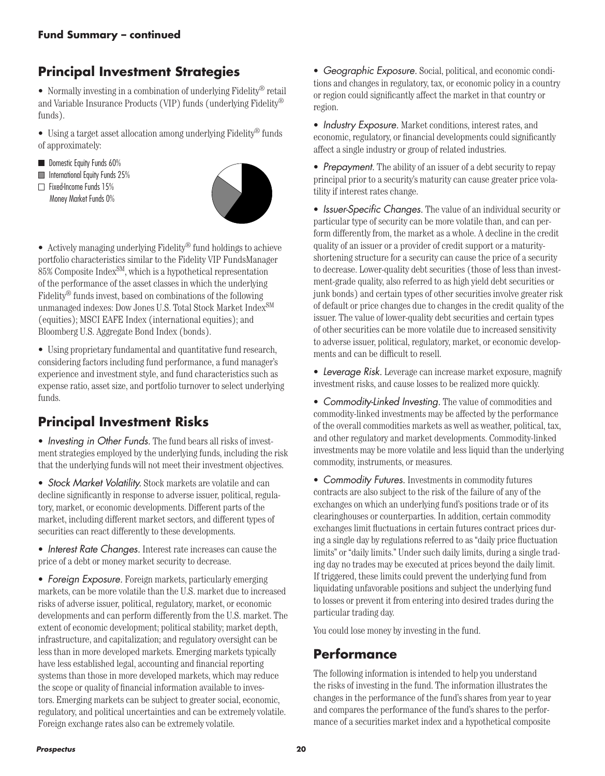# **Principal Investment Strategies**

• Normally investing in a combination of underlying Fidelity® retail and Variable Insurance Products (VIP) funds (underlying Fidelity® funds).

• Using a target asset allocation among underlying Fidelity® funds of approximately:

- Domestic Equity Funds 60% International Equity Funds 25%  $\Box$  Fixed-Income Funds 15%
- Money Market Funds 0%



• Actively managing underlying Fidelity<sup>®</sup> fund holdings to achieve portfolio characteristics similar to the Fidelity VIP FundsManager 85% Composite Index<sup>SM</sup>, which is a hypothetical representation of the performance of the asset classes in which the underlying Fidelity® funds invest, based on combinations of the following unmanaged indexes: Dow Jones U.S. Total Stock Market Index<sup>SM</sup> (equities); MSCI EAFE Index (international equities); and Bloomberg U.S. Aggregate Bond Index (bonds).

• Using proprietary fundamental and quantitative fund research, considering factors including fund performance, a fund manager's experience and investment style, and fund characteristics such as expense ratio, asset size, and portfolio turnover to select underlying funds.

# **Principal Investment Risks**

• *Investing in Other Funds.* The fund bears all risks of investment strategies employed by the underlying funds, including the risk that the underlying funds will not meet their investment objectives.

• *Stock Market Volatility.* Stock markets are volatile and can decline significantly in response to adverse issuer, political, regulatory, market, or economic developments. Different parts of the market, including different market sectors, and different types of securities can react differently to these developments.

• *Interest Rate Changes.* Interest rate increases can cause the price of a debt or money market security to decrease.

• *Foreign Exposure.* Foreign markets, particularly emerging markets, can be more volatile than the U.S. market due to increased risks of adverse issuer, political, regulatory, market, or economic developments and can perform differently from the U.S. market. The extent of economic development; political stability; market depth, infrastructure, and capitalization; and regulatory oversight can be less than in more developed markets. Emerging markets typically have less established legal, accounting and financial reporting systems than those in more developed markets, which may reduce the scope or quality of financial information available to investors. Emerging markets can be subject to greater social, economic, regulatory, and political uncertainties and can be extremely volatile. Foreign exchange rates also can be extremely volatile.

• *Geographic Exposure.* Social, political, and economic conditions and changes in regulatory, tax, or economic policy in a country or region could significantly affect the market in that country or region.

• *Industry Exposure.* Market conditions, interest rates, and economic, regulatory, or financial developments could significantly affect a single industry or group of related industries.

• *Prepayment.* The ability of an issuer of a debt security to repay principal prior to a security's maturity can cause greater price volatility if interest rates change.

• *Issuer-Specific Changes.* The value of an individual security or particular type of security can be more volatile than, and can perform differently from, the market as a whole. A decline in the credit quality of an issuer or a provider of credit support or a maturityshortening structure for a security can cause the price of a security to decrease. Lower-quality debt securities (those of less than investment-grade quality, also referred to as high yield debt securities or junk bonds) and certain types of other securities involve greater risk of default or price changes due to changes in the credit quality of the issuer. The value of lower-quality debt securities and certain types of other securities can be more volatile due to increased sensitivity to adverse issuer, political, regulatory, market, or economic developments and can be difficult to resell.

• *Leverage Risk.* Leverage can increase market exposure, magnify investment risks, and cause losses to be realized more quickly.

• *Commodity-Linked Investing.* The value of commodities and commodity-linked investments may be affected by the performance of the overall commodities markets as well as weather, political, tax, and other regulatory and market developments. Commodity-linked investments may be more volatile and less liquid than the underlying commodity, instruments, or measures.

• *Commodity Futures.* Investments in commodity futures contracts are also subject to the risk of the failure of any of the exchanges on which an underlying fund's positions trade or of its clearinghouses or counterparties. In addition, certain commodity exchanges limit fluctuations in certain futures contract prices during a single day by regulations referred to as "daily price fluctuation limits" or "daily limits." Under such daily limits, during a single trading day no trades may be executed at prices beyond the daily limit. If triggered, these limits could prevent the underlying fund from liquidating unfavorable positions and subject the underlying fund to losses or prevent it from entering into desired trades during the particular trading day.

You could lose money by investing in the fund.

### **Performance**

The following information is intended to help you understand the risks of investing in the fund. The information illustrates the changes in the performance of the fund's shares from year to year and compares the performance of the fund's shares to the performance of a securities market index and a hypothetical composite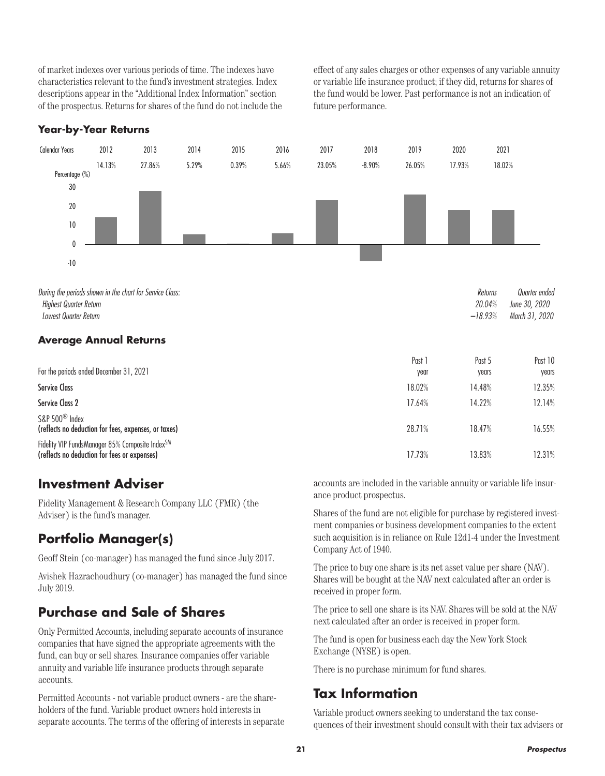of market indexes over various periods of time. The indexes have characteristics relevant to the fund's investment strategies. Index descriptions appear in the "Additional Index Information" section of the prospectus. Returns for shares of the fund do not include the effect of any sales charges or other expenses of any variable annuity or variable life insurance product; if they did, returns for shares of the fund would be lower. Past performance is not an indication of future performance.

#### **Year-by-Year Returns**



*Highest Quarter Return 20.04% June 30, 2020 Lowest Quarter Return –18.93% March 31, 2020*

#### **Average Annual Returns**

| For the periods ended December 31, 2021                                                         | Past<br>year | Past 5<br>years | Past 10<br>years |
|-------------------------------------------------------------------------------------------------|--------------|-----------------|------------------|
| <b>Service Class</b>                                                                            | 18.02%       | 14.48%          | 12.35%           |
| Service Class 2                                                                                 | 17.64%       | 14.22%          | 12.14%           |
| S&P 500 <sup>®</sup> Index<br>(reflects no deduction for fees, expenses, or taxes)              | 28.71%       | 18.47%          | 16.55%           |
| Fidelity VIP FundsManager 85% Composite IndexSM<br>(reflects no deduction for fees or expenses) | 17.73%       | 13.83%          | 12.31%           |

### **Investment Adviser**

Fidelity Management & Research Company LLC (FMR) (the Adviser) is the fund's manager.

## **Portfolio Manager(s)**

Geoff Stein (co-manager) has managed the fund since July 2017.

Avishek Hazrachoudhury (co-manager) has managed the fund since July 2019.

## **Purchase and Sale of Shares**

Only Permitted Accounts, including separate accounts of insurance companies that have signed the appropriate agreements with the fund, can buy or sell shares. Insurance companies offer variable annuity and variable life insurance products through separate accounts.

Permitted Accounts - not variable product owners - are the shareholders of the fund. Variable product owners hold interests in separate accounts. The terms of the offering of interests in separate accounts are included in the variable annuity or variable life insurance product prospectus.

Shares of the fund are not eligible for purchase by registered investment companies or business development companies to the extent such acquisition is in reliance on Rule 12d1-4 under the Investment Company Act of 1940.

The price to buy one share is its net asset value per share (NAV). Shares will be bought at the NAV next calculated after an order is received in proper form.

The price to sell one share is its NAV. Shares will be sold at the NAV next calculated after an order is received in proper form.

The fund is open for business each day the New York Stock Exchange (NYSE) is open.

There is no purchase minimum for fund shares.

### **Tax Information**

Variable product owners seeking to understand the tax consequences of their investment should consult with their tax advisers or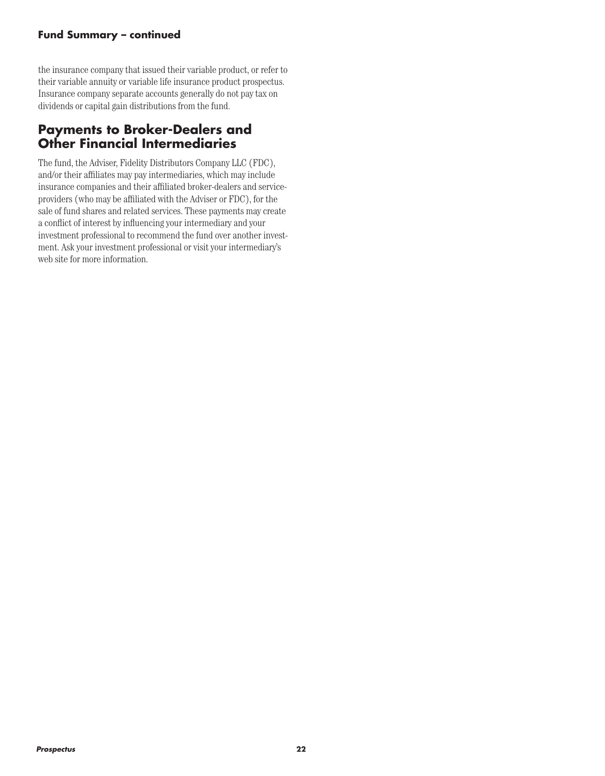#### **Fund Summary – continued**

the insurance company that issued their variable product, or refer to their variable annuity or variable life insurance product prospectus. Insurance company separate accounts generally do not pay tax on dividends or capital gain distributions from the fund.

### **Payments to Broker-Dealers and Other Financial Intermediaries**

The fund, the Adviser, Fidelity Distributors Company LLC (FDC), and/or their affiliates may pay intermediaries, which may include insurance companies and their affiliated broker-dealers and serviceproviders (who may be affiliated with the Adviser or FDC), for the sale of fund shares and related services. These payments may create a conflict of interest by influencing your intermediary and your investment professional to recommend the fund over another investment. Ask your investment professional or visit your intermediary's web site for more information.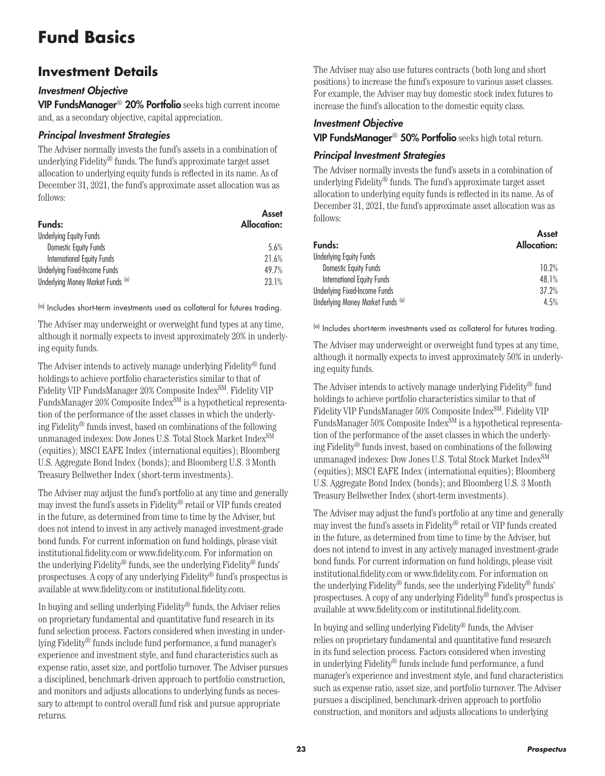# **Fund Basics**

### **Investment Details**

#### *Investment Objective*

VIP FundsManager® 20% Portfolio seeks high current income and, as a secondary objective, capital appreciation.

#### *Principal Investment Strategies*

The Adviser normally invests the fund's assets in a combination of underlying Fidelity® funds. The fund's approximate target asset allocation to underlying equity funds is reflected in its name. As of December 31, 2021, the fund's approximate asset allocation was as follows:

| Funds:                            | Asset<br>Allocation: |
|-----------------------------------|----------------------|
| <b>Underlying Equity Funds</b>    |                      |
| Domestic Equity Funds             | 5.6%                 |
| <b>International Equity Funds</b> | 21.6%                |
| Underlying Fixed-Income Funds     | 49.7%                |
| Underlying Money Market Funds (a) | 23.1%                |

(a) Includes short-term investments used as collateral for futures trading.

The Adviser may underweight or overweight fund types at any time, although it normally expects to invest approximately 20% in underlying equity funds.

The Adviser intends to actively manage underlying Fidelity® fund holdings to achieve portfolio characteristics similar to that of Fidelity VIP FundsManager 20% Composite Index<sup>SM</sup>. Fidelity VIP FundsManager 20% Composite Index<sup>SM</sup> is a hypothetical representation of the performance of the asset classes in which the underlying Fidelity® funds invest, based on combinations of the following unmanaged indexes: Dow Jones U.S. Total Stock Market Index<sup>SM</sup> (equities); MSCI EAFE Index (international equities); Bloomberg U.S. Aggregate Bond Index (bonds); and Bloomberg U.S. 3 Month Treasury Bellwether Index (short-term investments).

The Adviser may adjust the fund's portfolio at any time and generally may invest the fund's assets in Fidelity® retail or VIP funds created in the future, as determined from time to time by the Adviser, but does not intend to invest in any actively managed investment-grade bond funds. For current information on fund holdings, please visit institutional.fidelity.com or www.fidelity.com. For information on the underlying Fidelity® funds, see the underlying Fidelity® funds' prospectuses. A copy of any underlying Fidelity® fund's prospectus is available at www.fidelity.com or institutional.fidelity.com.

In buying and selling underlying Fidelity® funds, the Adviser relies on proprietary fundamental and quantitative fund research in its fund selection process. Factors considered when investing in underlying Fidelity® funds include fund performance, a fund manager's experience and investment style, and fund characteristics such as expense ratio, asset size, and portfolio turnover. The Adviser pursues a disciplined, benchmark-driven approach to portfolio construction, and monitors and adjusts allocations to underlying funds as necessary to attempt to control overall fund risk and pursue appropriate returns.

The Adviser may also use futures contracts (both long and short positions) to increase the fund's exposure to various asset classes. For example, the Adviser may buy domestic stock index futures to increase the fund's allocation to the domestic equity class.

#### *Investment Objective*

VIP FundsManager® 50% Portfolio seeks high total return.

#### *Principal Investment Strategies*

The Adviser normally invests the fund's assets in a combination of underlying Fidelity® funds. The fund's approximate target asset allocation to underlying equity funds is reflected in its name. As of December 31, 2021, the fund's approximate asset allocation was as follows:

| Asset<br>Allocation: |
|----------------------|
|                      |
| 10.2%                |
| 48.1%                |
| 37.2%                |
| 4.5%                 |
|                      |

(a) Includes short-term investments used as collateral for futures trading.

The Adviser may underweight or overweight fund types at any time, although it normally expects to invest approximately 50% in underlying equity funds.

The Adviser intends to actively manage underlying Fidelity® fund holdings to achieve portfolio characteristics similar to that of Fidelity VIP FundsManager 50% Composite Index<sup>SM</sup>. Fidelity VIP FundsManager 50% Composite Index<sup>SM</sup> is a hypothetical representation of the performance of the asset classes in which the underlying Fidelity® funds invest, based on combinations of the following unmanaged indexes: Dow Jones U.S. Total Stock Market IndexSM (equities); MSCI EAFE Index (international equities); Bloomberg U.S. Aggregate Bond Index (bonds); and Bloomberg U.S. 3 Month Treasury Bellwether Index (short-term investments).

The Adviser may adjust the fund's portfolio at any time and generally may invest the fund's assets in Fidelity® retail or VIP funds created in the future, as determined from time to time by the Adviser, but does not intend to invest in any actively managed investment-grade bond funds. For current information on fund holdings, please visit institutional.fidelity.com or www.fidelity.com. For information on the underlying Fidelity® funds, see the underlying Fidelity® funds' prospectuses. A copy of any underlying Fidelity® fund's prospectus is available at www.fidelity.com or institutional.fidelity.com.

In buying and selling underlying Fidelity® funds, the Adviser relies on proprietary fundamental and quantitative fund research in its fund selection process. Factors considered when investing in underlying Fidelity® funds include fund performance, a fund manager's experience and investment style, and fund characteristics such as expense ratio, asset size, and portfolio turnover. The Adviser pursues a disciplined, benchmark-driven approach to portfolio construction, and monitors and adjusts allocations to underlying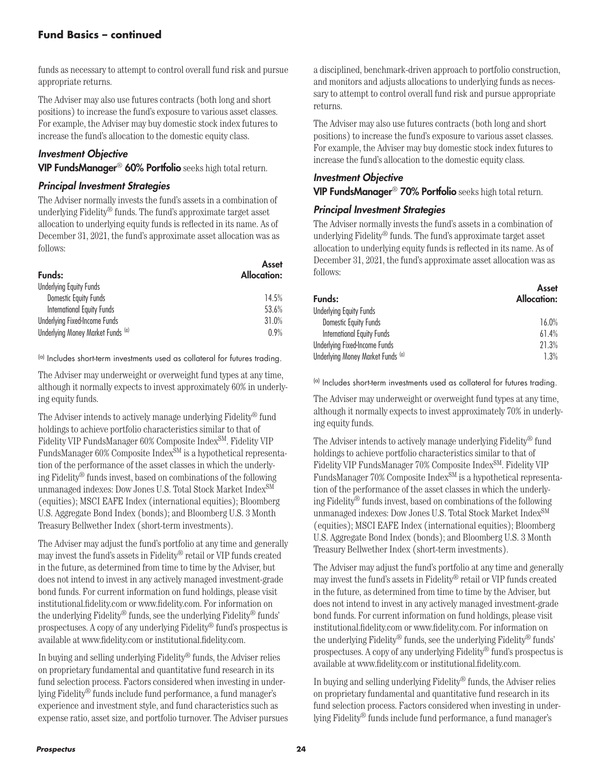funds as necessary to attempt to control overall fund risk and pursue appropriate returns.

The Adviser may also use futures contracts (both long and short positions) to increase the fund's exposure to various asset classes. For example, the Adviser may buy domestic stock index futures to increase the fund's allocation to the domestic equity class.

#### *Investment Objective*

VIP FundsManager® 60% Portfolio seeks high total return.

#### *Principal Investment Strategies*

The Adviser normally invests the fund's assets in a combination of underlying Fidelity® funds. The fund's approximate target asset allocation to underlying equity funds is reflected in its name. As of December 31, 2021, the fund's approximate asset allocation was as follows:

| Funds:                            | Asset<br><b>Allocation:</b> |
|-----------------------------------|-----------------------------|
| <b>Underlying Equity Funds</b>    |                             |
| Domestic Equity Funds             | 14.5%                       |
| International Equity Funds        | 53.6%                       |
| Underlying Fixed-Income Funds     | 31.0%                       |
| Underlying Money Market Funds (a) | 0.9%                        |

(a) Includes short-term investments used as collateral for futures trading.

The Adviser may underweight or overweight fund types at any time, although it normally expects to invest approximately 60% in underlying equity funds.

The Adviser intends to actively manage underlying Fidelity® fund holdings to achieve portfolio characteristics similar to that of Fidelity VIP FundsManager 60% Composite Index<sup>SM</sup>. Fidelity VIP FundsManager 60% Composite Index<sup>SM</sup> is a hypothetical representation of the performance of the asset classes in which the underlying Fidelity® funds invest, based on combinations of the following unmanaged indexes: Dow Jones U.S. Total Stock Market Index<sup>SM</sup> (equities); MSCI EAFE Index (international equities); Bloomberg U.S. Aggregate Bond Index (bonds); and Bloomberg U.S. 3 Month Treasury Bellwether Index (short-term investments).

The Adviser may adjust the fund's portfolio at any time and generally may invest the fund's assets in Fidelity® retail or VIP funds created in the future, as determined from time to time by the Adviser, but does not intend to invest in any actively managed investment-grade bond funds. For current information on fund holdings, please visit institutional.fidelity.com or www.fidelity.com. For information on the underlying Fidelity® funds, see the underlying Fidelity® funds' prospectuses. A copy of any underlying Fidelity® fund's prospectus is available at www.fidelity.com or institutional.fidelity.com.

In buying and selling underlying Fidelity® funds, the Adviser relies on proprietary fundamental and quantitative fund research in its fund selection process. Factors considered when investing in underlying Fidelity® funds include fund performance, a fund manager's experience and investment style, and fund characteristics such as expense ratio, asset size, and portfolio turnover. The Adviser pursues

a disciplined, benchmark-driven approach to portfolio construction, and monitors and adjusts allocations to underlying funds as necessary to attempt to control overall fund risk and pursue appropriate returns.

The Adviser may also use futures contracts (both long and short positions) to increase the fund's exposure to various asset classes. For example, the Adviser may buy domestic stock index futures to increase the fund's allocation to the domestic equity class.

#### *Investment Objective* VIP FundsManager® 70% Portfolio seeks high total return.

#### *Principal Investment Strategies*

The Adviser normally invests the fund's assets in a combination of underlying Fidelity® funds. The fund's approximate target asset allocation to underlying equity funds is reflected in its name. As of December 31, 2021, the fund's approximate asset allocation was as follows:

| Asset<br>Allocation: |
|----------------------|
|                      |
| 16.0%                |
| 61.4%                |
| 21.3%                |
| 1.3%                 |
|                      |

(a) Includes short-term investments used as collateral for futures trading.

The Adviser may underweight or overweight fund types at any time, although it normally expects to invest approximately 70% in underlying equity funds.

The Adviser intends to actively manage underlying Fidelity® fund holdings to achieve portfolio characteristics similar to that of Fidelity VIP FundsManager 70% Composite Index<sup>SM</sup>. Fidelity VIP FundsManager 70% Composite Index<sup>SM</sup> is a hypothetical representation of the performance of the asset classes in which the underlying Fidelity® funds invest, based on combinations of the following unmanaged indexes: Dow Jones U.S. Total Stock Market IndexSM (equities); MSCI EAFE Index (international equities); Bloomberg U.S. Aggregate Bond Index (bonds); and Bloomberg U.S. 3 Month Treasury Bellwether Index (short-term investments).

The Adviser may adjust the fund's portfolio at any time and generally may invest the fund's assets in Fidelity® retail or VIP funds created in the future, as determined from time to time by the Adviser, but does not intend to invest in any actively managed investment-grade bond funds. For current information on fund holdings, please visit institutional.fidelity.com or www.fidelity.com. For information on the underlying Fidelity® funds, see the underlying Fidelity® funds' prospectuses. A copy of any underlying Fidelity® fund's prospectus is available at www.fidelity.com or institutional.fidelity.com.

In buying and selling underlying Fidelity® funds, the Adviser relies on proprietary fundamental and quantitative fund research in its fund selection process. Factors considered when investing in underlying Fidelity® funds include fund performance, a fund manager's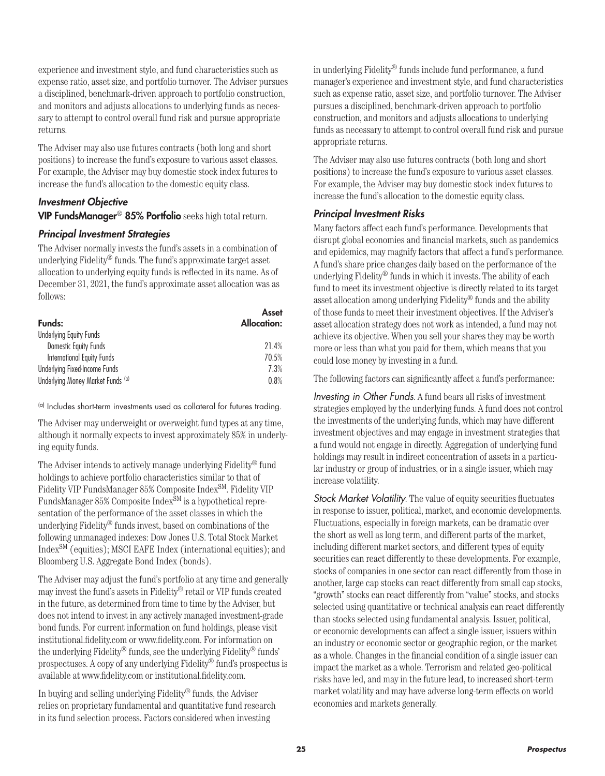experience and investment style, and fund characteristics such as expense ratio, asset size, and portfolio turnover. The Adviser pursues a disciplined, benchmark-driven approach to portfolio construction, and monitors and adjusts allocations to underlying funds as necessary to attempt to control overall fund risk and pursue appropriate returns.

The Adviser may also use futures contracts (both long and short positions) to increase the fund's exposure to various asset classes. For example, the Adviser may buy domestic stock index futures to increase the fund's allocation to the domestic equity class.

#### *Investment Objective*

VIP FundsManager® 85% Portfolio seeks high total return.

#### *Principal Investment Strategies*

The Adviser normally invests the fund's assets in a combination of underlying Fidelity® funds. The fund's approximate target asset allocation to underlying equity funds is reflected in its name. As of December 31, 2021, the fund's approximate asset allocation was as follows:

| Funds:                            | Asset<br><b>Allocation:</b> |
|-----------------------------------|-----------------------------|
| <b>Underlying Equity Funds</b>    |                             |
| Domestic Equity Funds             | 21.4%                       |
| <b>International Equity Funds</b> | 70.5%                       |
| Underlying Fixed-Income Funds     | 7.3%                        |
| Underlying Money Market Funds (a) | 0.8%                        |

(a) Includes short-term investments used as collateral for futures trading.

The Adviser may underweight or overweight fund types at any time, although it normally expects to invest approximately 85% in underlying equity funds.

The Adviser intends to actively manage underlying Fidelity® fund holdings to achieve portfolio characteristics similar to that of Fidelity VIP FundsManager 85% Composite Index<sup>SM</sup>. Fidelity VIP FundsManager 85% Composite Index<sup>SM</sup> is a hypothetical representation of the performance of the asset classes in which the underlying Fidelity® funds invest, based on combinations of the following unmanaged indexes: Dow Jones U.S. Total Stock Market IndexSM (equities); MSCI EAFE Index (international equities); and Bloomberg U.S. Aggregate Bond Index (bonds).

The Adviser may adjust the fund's portfolio at any time and generally may invest the fund's assets in Fidelity® retail or VIP funds created in the future, as determined from time to time by the Adviser, but does not intend to invest in any actively managed investment-grade bond funds. For current information on fund holdings, please visit institutional.fidelity.com or www.fidelity.com. For information on the underlying Fidelity® funds, see the underlying Fidelity® funds' prospectuses. A copy of any underlying Fidelity® fund's prospectus is available at www.fidelity.com or institutional.fidelity.com.

In buying and selling underlying Fidelity® funds, the Adviser relies on proprietary fundamental and quantitative fund research in its fund selection process. Factors considered when investing

in underlying Fidelity® funds include fund performance, a fund manager's experience and investment style, and fund characteristics such as expense ratio, asset size, and portfolio turnover. The Adviser pursues a disciplined, benchmark-driven approach to portfolio construction, and monitors and adjusts allocations to underlying funds as necessary to attempt to control overall fund risk and pursue appropriate returns.

The Adviser may also use futures contracts (both long and short positions) to increase the fund's exposure to various asset classes. For example, the Adviser may buy domestic stock index futures to increase the fund's allocation to the domestic equity class.

#### *Principal Investment Risks*

Many factors affect each fund's performance. Developments that disrupt global economies and financial markets, such as pandemics and epidemics, may magnify factors that affect a fund's performance. A fund's share price changes daily based on the performance of the underlying Fidelity® funds in which it invests. The ability of each fund to meet its investment objective is directly related to its target asset allocation among underlying Fidelity® funds and the ability of those funds to meet their investment objectives. If the Adviser's asset allocation strategy does not work as intended, a fund may not achieve its objective. When you sell your shares they may be worth more or less than what you paid for them, which means that you could lose money by investing in a fund.

The following factors can significantly affect a fund's performance:

*Investing in Other Funds*. A fund bears all risks of investment strategies employed by the underlying funds. A fund does not control the investments of the underlying funds, which may have different investment objectives and may engage in investment strategies that a fund would not engage in directly. Aggregation of underlying fund holdings may result in indirect concentration of assets in a particular industry or group of industries, or in a single issuer, which may increase volatility.

*Stock Market Volatility*. The value of equity securities fluctuates in response to issuer, political, market, and economic developments. Fluctuations, especially in foreign markets, can be dramatic over the short as well as long term, and different parts of the market, including different market sectors, and different types of equity securities can react differently to these developments. For example, stocks of companies in one sector can react differently from those in another, large cap stocks can react differently from small cap stocks, "growth" stocks can react differently from "value" stocks, and stocks selected using quantitative or technical analysis can react differently than stocks selected using fundamental analysis. Issuer, political, or economic developments can affect a single issuer, issuers within an industry or economic sector or geographic region, or the market as a whole. Changes in the financial condition of a single issuer can impact the market as a whole. Terrorism and related geo-political risks have led, and may in the future lead, to increased short-term market volatility and may have adverse long-term effects on world economies and markets generally.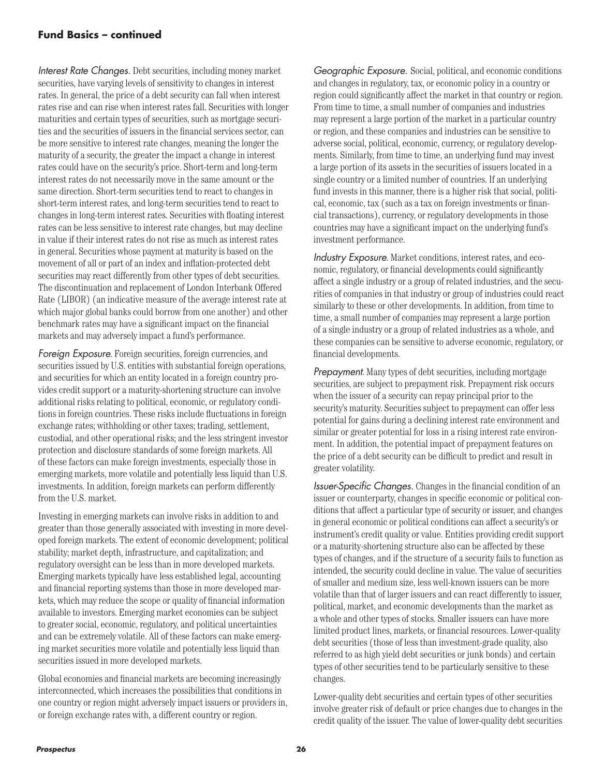#### **Fund Basics – continued**

*Interest Rate Changes.* Debt securities, including money market securities, have varying levels of sensitivity to changes in interest rates. In general, the price of a debt security can fall when interest rates rise and can rise when interest rates fall. Securities with longer maturities and certain types of securities, such as mortgage securities and the securities of issuers in the financial services sector, can be more sensitive to interest rate changes, meaning the longer the maturity of a security, the greater the impact a change in interest rates could have on the security's price. Short-term and long-term interest rates do not necessarily move in the same amount or the same direction. Short-term securities tend to react to changes in short-term interest rates, and long-term securities tend to react to changes in long-term interest rates. Securities with floating interest rates can be less sensitive to interest rate changes, but may decline in value if their interest rates do not rise as much as interest rates in general. Securities whose payment at maturity is based on the movement of all or part of an index and inflation-protected debt securities may react differently from other types of debt securities. The discontinuation and replacement of London Interbank Offered Rate (LIBOR) (an indicative measure of the average interest rate at which major global banks could borrow from one another) and other benchmark rates may have a significant impact on the financial markets and may adversely impact a fund's performance.

*Foreign Exposure*. Foreign securities, foreign currencies, and securities issued by U.S. entities with substantial foreign operations, and securities for which an entity located in a foreign country provides credit support or a maturity-shortening structure can involve additional risks relating to political, economic, or regulatory conditions in foreign countries. These risks include fluctuations in foreign exchange rates; withholding or other taxes; trading, settlement, custodial, and other operational risks; and the less stringent investor protection and disclosure standards of some foreign markets. All of these factors can make foreign investments, especially those in emerging markets, more volatile and potentially less liquid than U.S. investments. In addition, foreign markets can perform differently from the U.S. market.

Investing in emerging markets can involve risks in addition to and greater than those generally associated with investing in more developed foreign markets. The extent of economic development; political stability; market depth, infrastructure, and capitalization; and regulatory oversight can be less than in more developed markets. Emerging markets typically have less established legal, accounting and financial reporting systems than those in more developed markets, which may reduce the scope or quality of financial information available to investors. Emerging market economies can be subject to greater social, economic, regulatory, and political uncertainties and can be extremely volatile. All of these factors can make emerging market securities more volatile and potentially less liquid than securities issued in more developed markets.

Global economies and financial markets are becoming increasingly interconnected, which increases the possibilities that conditions in one country or region might adversely impact issuers or providers in, or foreign exchange rates with, a different country or region.

*Geographic Exposure.* Social, political, and economic conditions and changes in regulatory, tax, or economic policy in a country or region could significantly affect the market in that country or region. From time to time, a small number of companies and industries may represent a large portion of the market in a particular country or region, and these companies and industries can be sensitive to adverse social, political, economic, currency, or regulatory developments. Similarly, from time to time, an underlying fund may invest a large portion of its assets in the securities of issuers located in a single country or a limited number of countries. If an underlying fund invests in this manner, there is a higher risk that social, political, economic, tax (such as a tax on foreign investments or financial transactions), currency, or regulatory developments in those countries may have a significant impact on the underlying fund's investment performance.

*Industry Exposure*. Market conditions, interest rates, and economic, regulatory, or financial developments could significantly affect a single industry or a group of related industries, and the securities of companies in that industry or group of industries could react similarly to these or other developments. In addition, from time to time, a small number of companies may represent a large portion of a single industry or a group of related industries as a whole, and these companies can be sensitive to adverse economic, regulatory, or financial developments.

*Prepayment*. Many types of debt securities, including mortgage securities, are subject to prepayment risk. Prepayment risk occurs when the issuer of a security can repay principal prior to the security's maturity. Securities subject to prepayment can offer less potential for gains during a declining interest rate environment and similar or greater potential for loss in a rising interest rate environment. In addition, the potential impact of prepayment features on the price of a debt security can be difficult to predict and result in greater volatility.

*Issuer-Specific Changes.* Changes in the financial condition of an issuer or counterparty, changes in specific economic or political conditions that affect a particular type of security or issuer, and changes in general economic or political conditions can affect a security's or instrument's credit quality or value. Entities providing credit support or a maturity-shortening structure also can be affected by these types of changes, and if the structure of a security fails to function as intended, the security could decline in value. The value of securities of smaller and medium size, less well-known issuers can be more volatile than that of larger issuers and can react differently to issuer, political, market, and economic developments than the market as a whole and other types of stocks. Smaller issuers can have more limited product lines, markets, or financial resources. Lower-quality debt securities (those of less than investment-grade quality, also referred to as high yield debt securities or junk bonds) and certain types of other securities tend to be particularly sensitive to these changes.

Lower-quality debt securities and certain types of other securities involve greater risk of default or price changes due to changes in the credit quality of the issuer. The value of lower-quality debt securities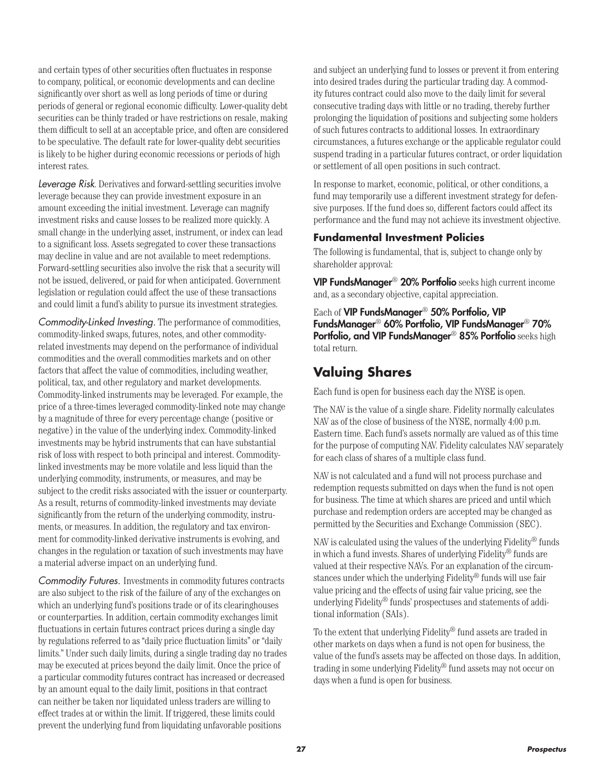and certain types of other securities often fluctuates in response to company, political, or economic developments and can decline significantly over short as well as long periods of time or during periods of general or regional economic difficulty. Lower-quality debt securities can be thinly traded or have restrictions on resale, making them difficult to sell at an acceptable price, and often are considered to be speculative. The default rate for lower-quality debt securities is likely to be higher during economic recessions or periods of high interest rates.

*Leverage Risk*. Derivatives and forward-settling securities involve leverage because they can provide investment exposure in an amount exceeding the initial investment. Leverage can magnify investment risks and cause losses to be realized more quickly. A small change in the underlying asset, instrument, or index can lead to a significant loss. Assets segregated to cover these transactions may decline in value and are not available to meet redemptions. Forward-settling securities also involve the risk that a security will not be issued, delivered, or paid for when anticipated. Government legislation or regulation could affect the use of these transactions and could limit a fund's ability to pursue its investment strategies.

*Commodity-Linked Investing.* The performance of commodities, commodity-linked swaps, futures, notes, and other commodityrelated investments may depend on the performance of individual commodities and the overall commodities markets and on other factors that affect the value of commodities, including weather, political, tax, and other regulatory and market developments. Commodity-linked instruments may be leveraged. For example, the price of a three-times leveraged commodity-linked note may change by a magnitude of three for every percentage change (positive or negative) in the value of the underlying index. Commodity-linked investments may be hybrid instruments that can have substantial risk of loss with respect to both principal and interest. Commoditylinked investments may be more volatile and less liquid than the underlying commodity, instruments, or measures, and may be subject to the credit risks associated with the issuer or counterparty. As a result, returns of commodity-linked investments may deviate significantly from the return of the underlying commodity, instruments, or measures. In addition, the regulatory and tax environment for commodity-linked derivative instruments is evolving, and changes in the regulation or taxation of such investments may have a material adverse impact on an underlying fund.

*Commodity Futures.* Investments in commodity futures contracts are also subject to the risk of the failure of any of the exchanges on which an underlying fund's positions trade or of its clearinghouses or counterparties. In addition, certain commodity exchanges limit fluctuations in certain futures contract prices during a single day by regulations referred to as "daily price fluctuation limits" or "daily limits." Under such daily limits, during a single trading day no trades may be executed at prices beyond the daily limit. Once the price of a particular commodity futures contract has increased or decreased by an amount equal to the daily limit, positions in that contract can neither be taken nor liquidated unless traders are willing to effect trades at or within the limit. If triggered, these limits could prevent the underlying fund from liquidating unfavorable positions

and subject an underlying fund to losses or prevent it from entering into desired trades during the particular trading day. A commodity futures contract could also move to the daily limit for several consecutive trading days with little or no trading, thereby further prolonging the liquidation of positions and subjecting some holders of such futures contracts to additional losses. In extraordinary circumstances, a futures exchange or the applicable regulator could suspend trading in a particular futures contract, or order liquidation or settlement of all open positions in such contract.

In response to market, economic, political, or other conditions, a fund may temporarily use a different investment strategy for defensive purposes. If the fund does so, different factors could affect its performance and the fund may not achieve its investment objective.

#### **Fundamental Investment Policies**

The following is fundamental, that is, subject to change only by shareholder approval:

VIP FundsManager® 20% Portfolio seeks high current income and, as a secondary objective, capital appreciation.

Each of VIP FundsManager® 50% Portfolio, VIP FundsManager® 60% Portfolio, VIP FundsManager® 70% Portfolio, and VIP FundsManager® 85% Portfolio seeks high total return.

### **Valuing Shares**

Each fund is open for business each day the NYSE is open.

The NAV is the value of a single share. Fidelity normally calculates NAV as of the close of business of the NYSE, normally 4:00 p.m. Eastern time. Each fund's assets normally are valued as of this time for the purpose of computing NAV. Fidelity calculates NAV separately for each class of shares of a multiple class fund.

NAV is not calculated and a fund will not process purchase and redemption requests submitted on days when the fund is not open for business. The time at which shares are priced and until which purchase and redemption orders are accepted may be changed as permitted by the Securities and Exchange Commission (SEC).

NAV is calculated using the values of the underlying Fidelity® funds in which a fund invests. Shares of underlying Fidelity® funds are valued at their respective NAVs. For an explanation of the circumstances under which the underlying Fidelity® funds will use fair value pricing and the effects of using fair value pricing, see the underlying Fidelity® funds' prospectuses and statements of additional information (SAIs).

To the extent that underlying Fidelity® fund assets are traded in other markets on days when a fund is not open for business, the value of the fund's assets may be affected on those days. In addition, trading in some underlying Fidelity® fund assets may not occur on days when a fund is open for business.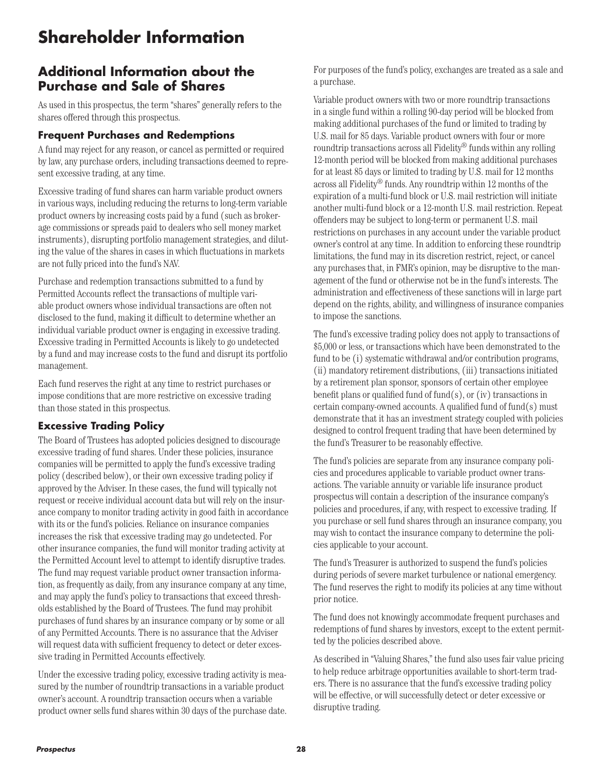# **Shareholder Information**

### **Additional Information about the Purchase and Sale of Shares**

As used in this prospectus, the term "shares" generally refers to the shares offered through this prospectus.

#### **Frequent Purchases and Redemptions**

A fund may reject for any reason, or cancel as permitted or required by law, any purchase orders, including transactions deemed to represent excessive trading, at any time.

Excessive trading of fund shares can harm variable product owners in various ways, including reducing the returns to long-term variable product owners by increasing costs paid by a fund (such as brokerage commissions or spreads paid to dealers who sell money market instruments), disrupting portfolio management strategies, and diluting the value of the shares in cases in which fluctuations in markets are not fully priced into the fund's NAV.

Purchase and redemption transactions submitted to a fund by Permitted Accounts reflect the transactions of multiple variable product owners whose individual transactions are often not disclosed to the fund, making it difficult to determine whether an individual variable product owner is engaging in excessive trading. Excessive trading in Permitted Accounts is likely to go undetected by a fund and may increase costs to the fund and disrupt its portfolio management.

Each fund reserves the right at any time to restrict purchases or impose conditions that are more restrictive on excessive trading than those stated in this prospectus.

#### **Excessive Trading Policy**

The Board of Trustees has adopted policies designed to discourage excessive trading of fund shares. Under these policies, insurance companies will be permitted to apply the fund's excessive trading policy (described below), or their own excessive trading policy if approved by the Adviser. In these cases, the fund will typically not request or receive individual account data but will rely on the insurance company to monitor trading activity in good faith in accordance with its or the fund's policies. Reliance on insurance companies increases the risk that excessive trading may go undetected. For other insurance companies, the fund will monitor trading activity at the Permitted Account level to attempt to identify disruptive trades. The fund may request variable product owner transaction information, as frequently as daily, from any insurance company at any time, and may apply the fund's policy to transactions that exceed thresholds established by the Board of Trustees. The fund may prohibit purchases of fund shares by an insurance company or by some or all of any Permitted Accounts. There is no assurance that the Adviser will request data with sufficient frequency to detect or deter excessive trading in Permitted Accounts effectively.

Under the excessive trading policy, excessive trading activity is measured by the number of roundtrip transactions in a variable product owner's account. A roundtrip transaction occurs when a variable product owner sells fund shares within 30 days of the purchase date. For purposes of the fund's policy, exchanges are treated as a sale and a purchase.

Variable product owners with two or more roundtrip transactions in a single fund within a rolling 90-day period will be blocked from making additional purchases of the fund or limited to trading by U.S. mail for 85 days. Variable product owners with four or more roundtrip transactions across all Fidelity® funds within any rolling 12-month period will be blocked from making additional purchases for at least 85 days or limited to trading by U.S. mail for 12 months across all Fidelity® funds. Any roundtrip within 12 months of the expiration of a multi-fund block or U.S. mail restriction will initiate another multi-fund block or a 12-month U.S. mail restriction. Repeat offenders may be subject to long-term or permanent U.S. mail restrictions on purchases in any account under the variable product owner's control at any time. In addition to enforcing these roundtrip limitations, the fund may in its discretion restrict, reject, or cancel any purchases that, in FMR's opinion, may be disruptive to the management of the fund or otherwise not be in the fund's interests. The administration and effectiveness of these sanctions will in large part depend on the rights, ability, and willingness of insurance companies to impose the sanctions.

The fund's excessive trading policy does not apply to transactions of \$5,000 or less, or transactions which have been demonstrated to the fund to be (i) systematic withdrawal and/or contribution programs, (ii) mandatory retirement distributions, (iii) transactions initiated by a retirement plan sponsor, sponsors of certain other employee benefit plans or qualified fund of fund(s), or (iv) transactions in certain company-owned accounts. A qualified fund of fund(s) must demonstrate that it has an investment strategy coupled with policies designed to control frequent trading that have been determined by the fund's Treasurer to be reasonably effective.

The fund's policies are separate from any insurance company policies and procedures applicable to variable product owner transactions. The variable annuity or variable life insurance product prospectus will contain a description of the insurance company's policies and procedures, if any, with respect to excessive trading. If you purchase or sell fund shares through an insurance company, you may wish to contact the insurance company to determine the policies applicable to your account.

The fund's Treasurer is authorized to suspend the fund's policies during periods of severe market turbulence or national emergency. The fund reserves the right to modify its policies at any time without prior notice.

The fund does not knowingly accommodate frequent purchases and redemptions of fund shares by investors, except to the extent permitted by the policies described above.

As described in "Valuing Shares," the fund also uses fair value pricing to help reduce arbitrage opportunities available to short-term traders. There is no assurance that the fund's excessive trading policy will be effective, or will successfully detect or deter excessive or disruptive trading.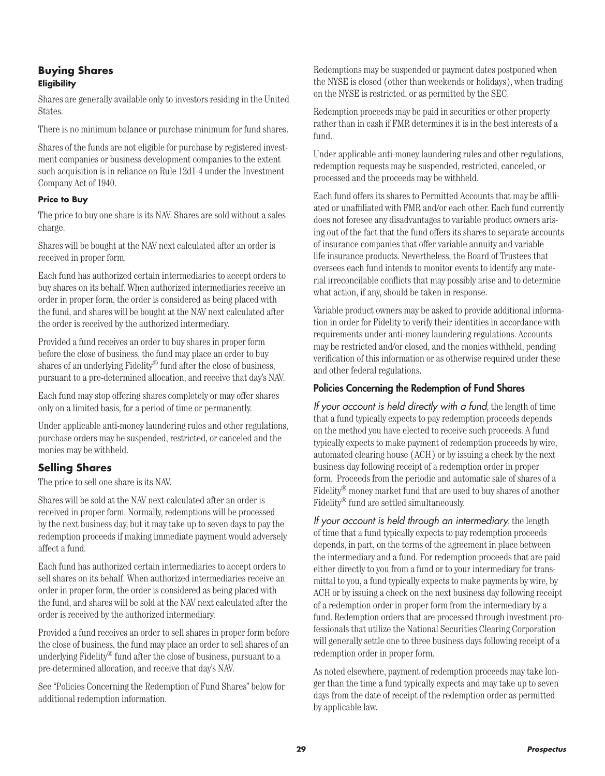#### **Buying Shares Eligibility**

Shares are generally available only to investors residing in the United States.

There is no minimum balance or purchase minimum for fund shares.

Shares of the funds are not eligible for purchase by registered investment companies or business development companies to the extent such acquisition is in reliance on Rule 12d1-4 under the Investment Company Act of 1940.

#### **Price to Buy**

The price to buy one share is its NAV. Shares are sold without a sales charge.

Shares will be bought at the NAV next calculated after an order is received in proper form.

Each fund has authorized certain intermediaries to accept orders to buy shares on its behalf. When authorized intermediaries receive an order in proper form, the order is considered as being placed with the fund, and shares will be bought at the NAV next calculated after the order is received by the authorized intermediary.

Provided a fund receives an order to buy shares in proper form before the close of business, the fund may place an order to buy shares of an underlying Fidelity® fund after the close of business, pursuant to a pre-determined allocation, and receive that day's NAV.

Each fund may stop offering shares completely or may offer shares only on a limited basis, for a period of time or permanently.

Under applicable anti-money laundering rules and other regulations, purchase orders may be suspended, restricted, or canceled and the monies may be withheld.

#### **Selling Shares**

The price to sell one share is its NAV.

Shares will be sold at the NAV next calculated after an order is received in proper form. Normally, redemptions will be processed by the next business day, but it may take up to seven days to pay the redemption proceeds if making immediate payment would adversely affect a fund.

Each fund has authorized certain intermediaries to accept orders to sell shares on its behalf. When authorized intermediaries receive an order in proper form, the order is considered as being placed with the fund, and shares will be sold at the NAV next calculated after the order is received by the authorized intermediary.

Provided a fund receives an order to sell shares in proper form before the close of business, the fund may place an order to sell shares of an underlying Fidelity® fund after the close of business, pursuant to a pre-determined allocation, and receive that day's NAV.

See "Policies Concerning the Redemption of Fund Shares" below for additional redemption information.

Redemptions may be suspended or payment dates postponed when the NYSE is closed (other than weekends or holidays), when trading on the NYSE is restricted, or as permitted by the SEC.

Redemption proceeds may be paid in securities or other property rather than in cash if FMR determines it is in the best interests of a fund.

Under applicable anti-money laundering rules and other regulations, redemption requests may be suspended, restricted, canceled, or processed and the proceeds may be withheld.

Each fund offers its shares to Permitted Accounts that may be affiliated or unaffiliated with FMR and/or each other. Each fund currently does not foresee any disadvantages to variable product owners arising out of the fact that the fund offers its shares to separate accounts of insurance companies that offer variable annuity and variable life insurance products. Nevertheless, the Board of Trustees that oversees each fund intends to monitor events to identify any material irreconcilable conflicts that may possibly arise and to determine what action, if any, should be taken in response.

Variable product owners may be asked to provide additional information in order for Fidelity to verify their identities in accordance with requirements under anti-money laundering regulations. Accounts may be restricted and/or closed, and the monies withheld, pending verification of this information or as otherwise required under these and other federal regulations.

#### Policies Concerning the Redemption of Fund Shares

*If your account is held directly with a fund*, the length of time that a fund typically expects to pay redemption proceeds depends on the method you have elected to receive such proceeds. A fund typically expects to make payment of redemption proceeds by wire, automated clearing house (ACH) or by issuing a check by the next business day following receipt of a redemption order in proper form. Proceeds from the periodic and automatic sale of shares of a Fidelity® money market fund that are used to buy shares of another Fidelity® fund are settled simultaneously.

*If your account is held through an intermediary*, the length of time that a fund typically expects to pay redemption proceeds depends, in part, on the terms of the agreement in place between the intermediary and a fund. For redemption proceeds that are paid either directly to you from a fund or to your intermediary for transmittal to you, a fund typically expects to make payments by wire, by ACH or by issuing a check on the next business day following receipt of a redemption order in proper form from the intermediary by a fund. Redemption orders that are processed through investment professionals that utilize the National Securities Clearing Corporation will generally settle one to three business days following receipt of a redemption order in proper form.

As noted elsewhere, payment of redemption proceeds may take longer than the time a fund typically expects and may take up to seven days from the date of receipt of the redemption order as permitted by applicable law.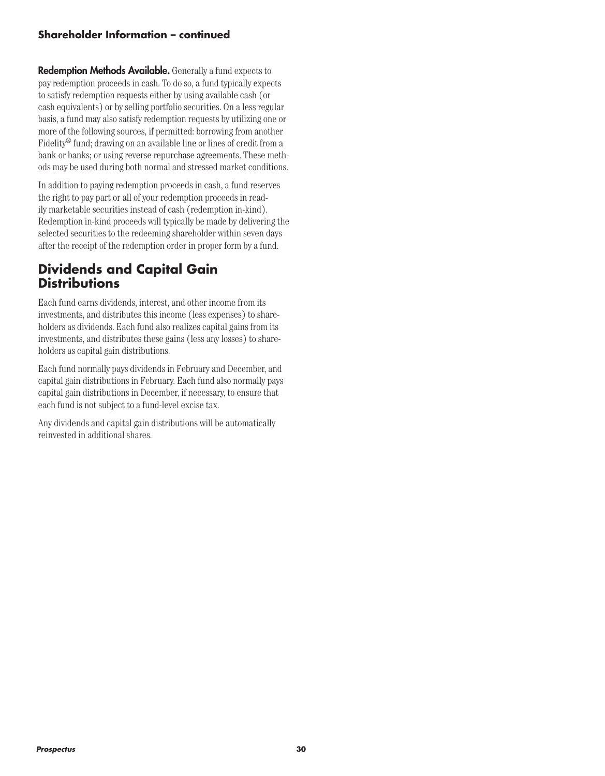#### **Shareholder Information – continued**

**Redemption Methods Available.** Generally a fund expects to pay redemption proceeds in cash. To do so, a fund typically expects to satisfy redemption requests either by using available cash (or cash equivalents) or by selling portfolio securities. On a less regular basis, a fund may also satisfy redemption requests by utilizing one or more of the following sources, if permitted: borrowing from another Fidelity® fund; drawing on an available line or lines of credit from a bank or banks; or using reverse repurchase agreements. These methods may be used during both normal and stressed market conditions.

In addition to paying redemption proceeds in cash, a fund reserves the right to pay part or all of your redemption proceeds in readily marketable securities instead of cash (redemption in-kind). Redemption in-kind proceeds will typically be made by delivering the selected securities to the redeeming shareholder within seven days after the receipt of the redemption order in proper form by a fund.

### **Dividends and Capital Gain Distributions**

Each fund earns dividends, interest, and other income from its investments, and distributes this income (less expenses) to shareholders as dividends. Each fund also realizes capital gains from its investments, and distributes these gains (less any losses) to shareholders as capital gain distributions.

Each fund normally pays dividends in February and December, and capital gain distributions in February. Each fund also normally pays capital gain distributions in December, if necessary, to ensure that each fund is not subject to a fund-level excise tax.

Any dividends and capital gain distributions will be automatically reinvested in additional shares.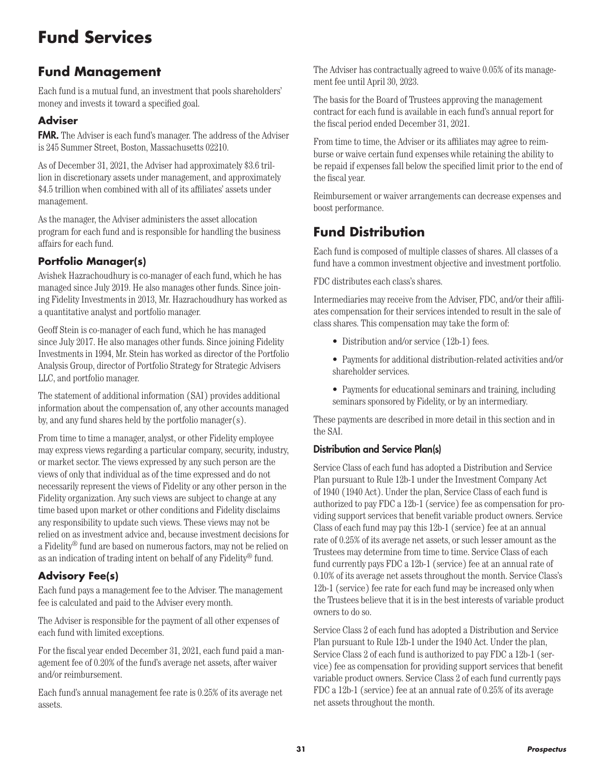# **Fund Services**

# **Fund Management**

Each fund is a mutual fund, an investment that pools shareholders' money and invests it toward a specified goal.

### **Adviser**

FMR. The Adviser is each fund's manager. The address of the Adviser is 245 Summer Street, Boston, Massachusetts 02210.

As of December 31, 2021, the Adviser had approximately \$3.6 trillion in discretionary assets under management, and approximately \$4.5 trillion when combined with all of its affiliates' assets under management.

As the manager, the Adviser administers the asset allocation program for each fund and is responsible for handling the business affairs for each fund.

### **Portfolio Manager(s)**

Avishek Hazrachoudhury is co-manager of each fund, which he has managed since July 2019. He also manages other funds. Since joining Fidelity Investments in 2013, Mr. Hazrachoudhury has worked as a quantitative analyst and portfolio manager.

Geoff Stein is co-manager of each fund, which he has managed since July 2017. He also manages other funds. Since joining Fidelity Investments in 1994, Mr. Stein has worked as director of the Portfolio Analysis Group, director of Portfolio Strategy for Strategic Advisers LLC, and portfolio manager.

The statement of additional information (SAI) provides additional information about the compensation of, any other accounts managed by, and any fund shares held by the portfolio manager(s).

From time to time a manager, analyst, or other Fidelity employee may express views regarding a particular company, security, industry, or market sector. The views expressed by any such person are the views of only that individual as of the time expressed and do not necessarily represent the views of Fidelity or any other person in the Fidelity organization. Any such views are subject to change at any time based upon market or other conditions and Fidelity disclaims any responsibility to update such views. These views may not be relied on as investment advice and, because investment decisions for a Fidelity® fund are based on numerous factors, may not be relied on as an indication of trading intent on behalf of any Fidelity® fund.

### **Advisory Fee(s)**

Each fund pays a management fee to the Adviser. The management fee is calculated and paid to the Adviser every month.

The Adviser is responsible for the payment of all other expenses of each fund with limited exceptions.

For the fiscal year ended December 31, 2021, each fund paid a management fee of 0.20% of the fund's average net assets, after waiver and/or reimbursement.

Each fund's annual management fee rate is 0.25% of its average net assets.

The Adviser has contractually agreed to waive 0.05% of its management fee until April 30, 2023.

The basis for the Board of Trustees approving the management contract for each fund is available in each fund's annual report for the fiscal period ended December 31, 2021.

From time to time, the Adviser or its affiliates may agree to reimburse or waive certain fund expenses while retaining the ability to be repaid if expenses fall below the specified limit prior to the end of the fiscal year.

Reimbursement or waiver arrangements can decrease expenses and boost performance.

# **Fund Distribution**

Each fund is composed of multiple classes of shares. All classes of a fund have a common investment objective and investment portfolio.

FDC distributes each class's shares.

Intermediaries may receive from the Adviser, FDC, and/or their affiliates compensation for their services intended to result in the sale of class shares. This compensation may take the form of:

- Distribution and/or service (12b-1) fees.
- Payments for additional distribution-related activities and/or shareholder services.
- Payments for educational seminars and training, including seminars sponsored by Fidelity, or by an intermediary.

These payments are described in more detail in this section and in the SAI.

#### Distribution and Service Plan(s)

Service Class of each fund has adopted a Distribution and Service Plan pursuant to Rule 12b-1 under the Investment Company Act of 1940 (1940 Act). Under the plan, Service Class of each fund is authorized to pay FDC a 12b-1 (service) fee as compensation for providing support services that benefit variable product owners. Service Class of each fund may pay this 12b-1 (service) fee at an annual rate of 0.25% of its average net assets, or such lesser amount as the Trustees may determine from time to time. Service Class of each fund currently pays FDC a 12b-1 (service) fee at an annual rate of 0.10% of its average net assets throughout the month. Service Class's 12b-1 (service) fee rate for each fund may be increased only when the Trustees believe that it is in the best interests of variable product owners to do so.

Service Class 2 of each fund has adopted a Distribution and Service Plan pursuant to Rule 12b-1 under the 1940 Act. Under the plan, Service Class 2 of each fund is authorized to pay FDC a 12b-1 (service) fee as compensation for providing support services that benefit variable product owners. Service Class 2 of each fund currently pays FDC a 12b-1 (service) fee at an annual rate of 0.25% of its average net assets throughout the month.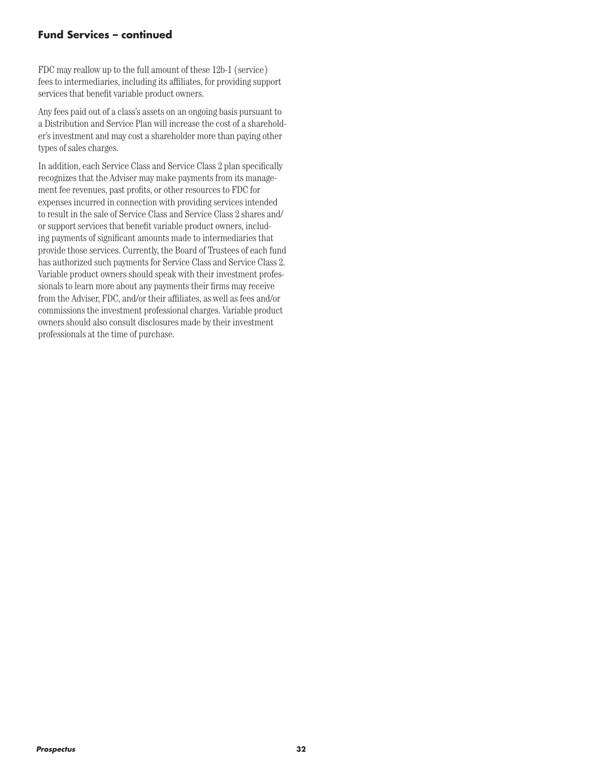#### **Fund Services – continued**

FDC may reallow up to the full amount of these 12b-1 (service) fees to intermediaries, including its affiliates, for providing support services that benefit variable product owners.

Any fees paid out of a class's assets on an ongoing basis pursuant to a Distribution and Service Plan will increase the cost of a shareholder's investment and may cost a shareholder more than paying other types of sales charges.

In addition, each Service Class and Service Class 2 plan specifically recognizes that the Adviser may make payments from its management fee revenues, past profits, or other resources to FDC for expenses incurred in connection with providing services intended to result in the sale of Service Class and Service Class 2 shares and/ or support services that benefit variable product owners, including payments of significant amounts made to intermediaries that provide those services. Currently, the Board of Trustees of each fund has authorized such payments for Service Class and Service Class 2. Variable product owners should speak with their investment professionals to learn more about any payments their firms may receive from the Adviser, FDC, and/or their affiliates, as well as fees and/or commissions the investment professional charges. Variable product owners should also consult disclosures made by their investment professionals at the time of purchase.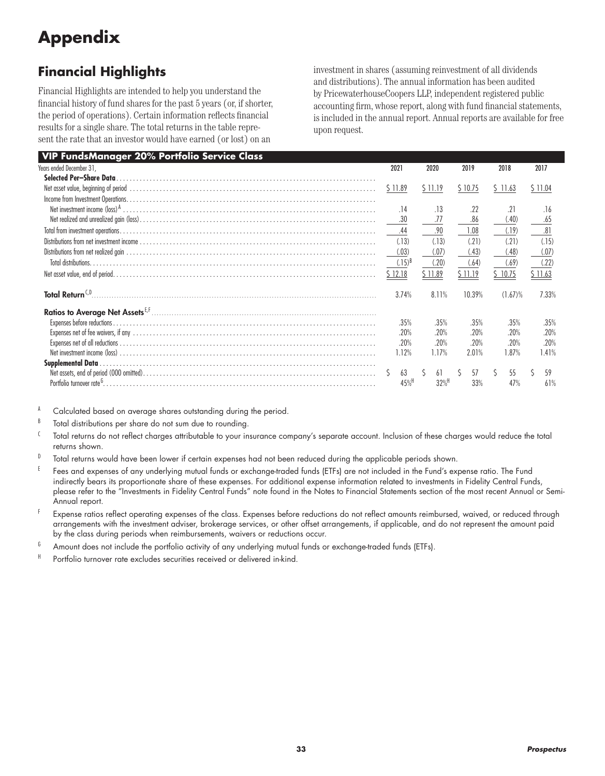# **Appendix**

# **Financial Highlights**

Financial Highlights are intended to help you understand the financial history of fund shares for the past 5 years (or, if shorter, the period of operations). Certain information reflects financial results for a single share. The total returns in the table represent the rate that an investor would have earned (or lost) on an

investment in shares (assuming reinvestment of all dividends and distributions). The annual information has been audited by PricewaterhouseCoopers LLP, independent registered public accounting firm, whose report, along with fund financial statements, is included in the annual report. Annual reports are available for free upon request.

| <b>VIP FundsManager 20% Portfolio Service Class</b> |                    |                     |         |         |         |
|-----------------------------------------------------|--------------------|---------------------|---------|---------|---------|
| Years ended December 31,                            | 2021               | 2020                | 2019    | 2018    | 2017    |
| Selected Per-Share Data                             |                    |                     |         |         |         |
|                                                     | \$11.89            | \$11.19             | \$10.75 | \$11.63 | \$11.04 |
|                                                     |                    |                     |         |         |         |
|                                                     | .14                | .13                 | .22     | .21     | .16     |
|                                                     | .30                | .77                 | .86     | (.40)   | .65     |
|                                                     | .44                | .90                 | 1.08    | (.19)   | .81     |
|                                                     | (.13)              | (.13)               | (21)    | (.21)   | (.15)   |
|                                                     | (.03)              | (.07)               | (.43)   | (.48)   | (.07)   |
| Total distributions.                                | $(.15)^{B}$        | (.20)               | (.64)   | (.69)   | (.22)   |
|                                                     | \$12.18            | \$11.89             | \$11.19 | \$10.75 | \$11.63 |
| Total Return <sup>C,D</sup> .                       | 3.74%              | 8.11%               | 10.39%  | (1.67)% | 7.33%   |
|                                                     |                    |                     |         |         |         |
| Expenses before reductions.                         | .35%               | .35%                | .35%    | .35%    | .35%    |
|                                                     | .20%               | .20%                | .20%    | .20%    | .20%    |
|                                                     | .20%               | .20%                | .20%    | .20%    | .20%    |
|                                                     | 1.12%              | 1.17%               | 2.01%   | 1.87%   | 1.41%   |
| <b>Supplemental Data</b>                            |                    |                     |         |         |         |
|                                                     | 63                 | 61                  | 57      | 55      | 59      |
|                                                     | $45%$ <sup>H</sup> | $32\%$ <sup>H</sup> | 33%     | 47%     | 61%     |

A Calculated based on average shares outstanding during the period.

B Total distributions per share do not sum due to rounding.

- <sup>C</sup> Total returns do not reflect charges attributable to your insurance company's separate account. Inclusion of these charges would reduce the total returns shown.
- $D$  Total returns would have been lower if certain expenses had not been reduced during the applicable periods shown.
- E Fees and expenses of any underlying mutual funds or exchange-traded funds (ETFs) are not included in the Fund's expense ratio. The Fund indirectly bears its proportionate share of these expenses. For additional expense information related to investments in Fidelity Central Funds, please refer to the "Investments in Fidelity Central Funds" note found in the Notes to Financial Statements section of the most recent Annual or Semi-Annual report.
- Expense ratios reflect operating expenses of the class. Expenses before reductions do not reflect amounts reimbursed, waived, or reduced through arrangements with the investment adviser, brokerage services, or other offset arrangements, if applicable, and do not represent the amount paid by the class during periods when reimbursements, waivers or reductions occur.
- $^6$  Amount does not include the portfolio activity of any underlying mutual funds or exchange-traded funds (ETFs).
- <sup>H</sup> Portfolio turnover rate excludes securities received or delivered in-kind.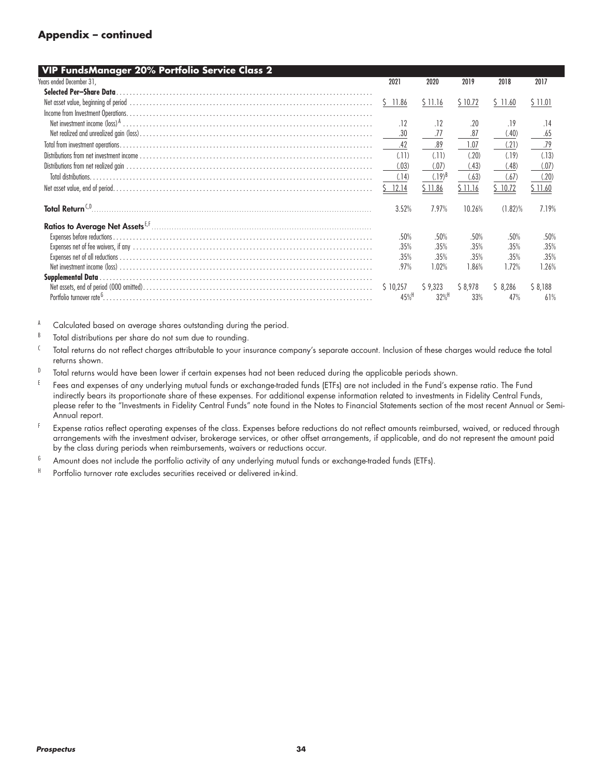#### **Appendix – continued**

| VIP FundsManager 20% Portfolio Service Class 2 |                    |                     |         |            |         |
|------------------------------------------------|--------------------|---------------------|---------|------------|---------|
| Years ended December 31,                       | 2021               | 2020                | 2019    | 2018       | 2017    |
| Selected Per-Share Data                        |                    |                     |         |            |         |
|                                                | Ŝ.<br>11.86        | \$11.16             | \$10.72 | \$11.60    | \$11.01 |
|                                                |                    |                     |         |            |         |
|                                                | .12                | .12                 | .20     | .19        | .14     |
|                                                | .30                | .77                 | .87     | (.40)      | .65     |
|                                                | .42                | .89                 | 1.07    | (.21)      | .79     |
|                                                | (11)               | (11)                | (.20)   | (.19)      | (.13)   |
|                                                | (.03)              | (.07)               | (.43)   | (.48)      | (.07)   |
| Total distributions                            | (.14)              | $(.19)^{B}$         | (.63)   | (.67)      | (.20)   |
|                                                | 12.14              | \$11.86             | \$11.16 | \$10.72    | \$11.60 |
| Total Return <sup>C,D</sup>                    | 3.52%              | 7.97%               | 10.26%  | $(1.82)\%$ | 7.19%   |
|                                                |                    |                     |         |            |         |
|                                                | .50%               | .50%                | .50%    | .50%       | .50%    |
|                                                | .35%               | .35%                | .35%    | .35%       | .35%    |
|                                                | .35%               | .35%                | .35%    | .35%       | .35%    |
|                                                | .97%               | 1.02%               | 1.86%   | 1.72%      | 1.26%   |
| <b>Supplemental Data.</b>                      |                    |                     |         |            |         |
|                                                | \$10.257           | \$9,323             | \$8,978 | \$8,286    | \$8,188 |
|                                                | $45%$ <sup>H</sup> | $32\%$ <sup>H</sup> | 33%     | 47%        | 61%     |

- $B$  Total distributions per share do not sum due to rounding.
- <sup>C</sup> Total returns do not reflect charges attributable to your insurance company's separate account. Inclusion of these charges would reduce the total returns shown.
- D Total returns would have been lower if certain expenses had not been reduced during the applicable periods shown.
- E Fees and expenses of any underlying mutual funds or exchange-traded funds (ETFs) are not included in the Fund's expense ratio. The Fund indirectly bears its proportionate share of these expenses. For additional expense information related to investments in Fidelity Central Funds, please refer to the "Investments in Fidelity Central Funds" note found in the Notes to Financial Statements section of the most recent Annual or Semi-Annual report.
- <sup>F</sup> Expense ratios reflect operating expenses of the class. Expenses before reductions do not reflect amounts reimbursed, waived, or reduced through arrangements with the investment adviser, brokerage services, or other offset arrangements, if applicable, and do not represent the amount paid by the class during periods when reimbursements, waivers or reductions occur.
- $6$  Amount does not include the portfolio activity of any underlying mutual funds or exchange-traded funds (ETFs).
- H Portfolio turnover rate excludes securities received or delivered in-kind.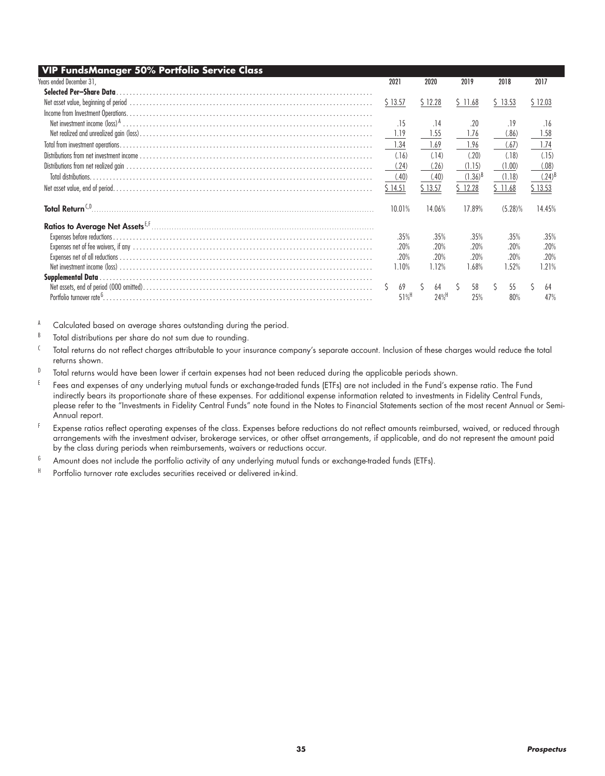| <b>VIP FundsManager 50% Portfolio Service Class</b> |                    |          |                    |              |            |         |                      |
|-----------------------------------------------------|--------------------|----------|--------------------|--------------|------------|---------|----------------------|
| Years ended December 31,                            | 2021               | 2020     |                    | 2019         | 2018       | 2017    |                      |
| Selected Per-Share Data                             |                    |          |                    |              |            |         |                      |
|                                                     | \$13.57            | \$12.28  |                    | \$ 11.68     | \$13.53    | \$12.03 |                      |
|                                                     |                    |          |                    |              |            |         |                      |
|                                                     | .15                | .14      |                    | .20          | .19        |         | .16                  |
|                                                     | 1.19               | 1.55     |                    | 1.76         | (.86)      |         | 1.58                 |
|                                                     | 1.34               | 1.69     |                    | 1.96         | (.67)      |         | 1.74                 |
|                                                     | (.16)              | (.14)    |                    | (.20)        | (.18)      |         | (.15)                |
|                                                     | (.24)              | (.26)    |                    | (1.15)       | (1.00)     |         | (.08)                |
| Total distributions                                 | (.40)              | (.40)    |                    | $(1.36)^{B}$ | (1.18)     |         | $(.24)$ <sup>[</sup> |
|                                                     | \$14.51            | \$13.57  |                    | \$12.28      | \$11.68    | \$13.53 |                      |
| Total Return <sup>C,D</sup>                         | 10.01%             | 14.06%   |                    | 17.89%       | $(5.28)\%$ |         | 14.45%               |
|                                                     |                    |          |                    |              |            |         |                      |
|                                                     | .35%               | .35%     |                    | .35%         | .35%       |         | .35%                 |
|                                                     | .20%               | .20%     |                    | .20%         | .20%       |         | .20%                 |
|                                                     | .20%               | .20%     |                    | .20%         | .20%       |         | .20%                 |
|                                                     | 1.10%              | 1.12%    |                    | 1.68%        | 1.52%      |         | 1.21%                |
|                                                     |                    |          |                    |              |            |         |                      |
|                                                     | 69                 | Ś.<br>64 |                    | 58           | 55         |         | 64                   |
|                                                     | $51%$ <sup>H</sup> |          | $24%$ <sup>H</sup> | 25%          | 80%        |         | 47%                  |

- $B$  Total distributions per share do not sum due to rounding.
- <sup>C</sup> Total returns do not reflect charges attributable to your insurance company's separate account. Inclusion of these charges would reduce the total returns shown.
- D Total returns would have been lower if certain expenses had not been reduced during the applicable periods shown.
- E Fees and expenses of any underlying mutual funds or exchange-traded funds (ETFs) are not included in the Fund's expense ratio. The Fund indirectly bears its proportionate share of these expenses. For additional expense information related to investments in Fidelity Central Funds, please refer to the "Investments in Fidelity Central Funds" note found in the Notes to Financial Statements section of the most recent Annual or Semi-Annual report.
- <sup>F</sup> Expense ratios reflect operating expenses of the class. Expenses before reductions do not reflect amounts reimbursed, waived, or reduced through arrangements with the investment adviser, brokerage services, or other offset arrangements, if applicable, and do not represent the amount paid by the class during periods when reimbursements, waivers or reductions occur.
- $6$  Amount does not include the portfolio activity of any underlying mutual funds or exchange-traded funds (ETFs).
- H Portfolio turnover rate excludes securities received or delivered in-kind.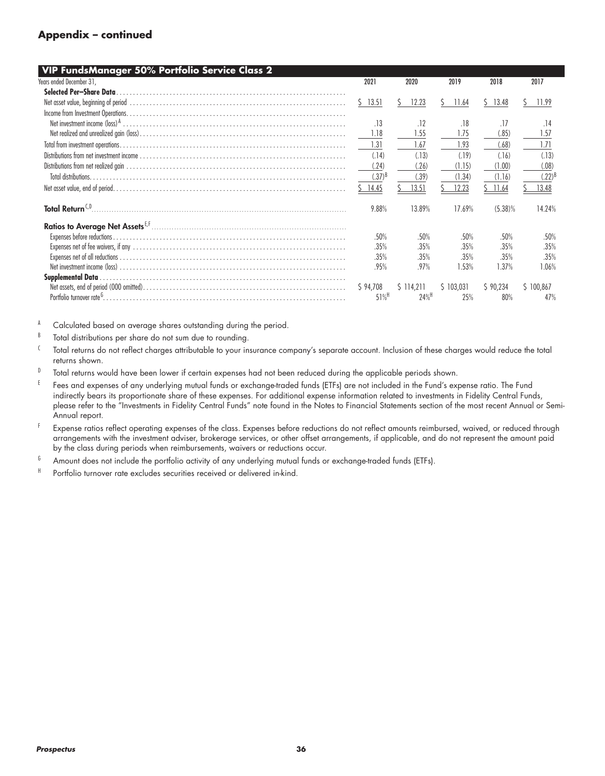#### **Appendix – continued**

| 2021        | 2020                                                                                     | 2019                                                                                                | 2018                                                                          | 2017                                                                                  |
|-------------|------------------------------------------------------------------------------------------|-----------------------------------------------------------------------------------------------------|-------------------------------------------------------------------------------|---------------------------------------------------------------------------------------|
|             |                                                                                          |                                                                                                     |                                                                               |                                                                                       |
| 13.51<br>S. | 12.23                                                                                    | 11.64<br>ς                                                                                          | ς<br>13.48                                                                    | 11.99<br>5                                                                            |
|             |                                                                                          |                                                                                                     |                                                                               |                                                                                       |
| .13         | .12                                                                                      | .18                                                                                                 | .17                                                                           | .14                                                                                   |
| 1.18        | 1.55                                                                                     | 1.75                                                                                                | (.85)                                                                         | 1.57                                                                                  |
|             |                                                                                          |                                                                                                     |                                                                               | 1.71                                                                                  |
|             |                                                                                          | (.19)                                                                                               |                                                                               | (.13)                                                                                 |
|             |                                                                                          |                                                                                                     |                                                                               | (.08)                                                                                 |
|             |                                                                                          |                                                                                                     |                                                                               | (.22)                                                                                 |
| 14.45       | 13.51                                                                                    | 12.23                                                                                               | 11.64                                                                         | 13.48                                                                                 |
| 9.88%       | 13.89%                                                                                   | 17.69%                                                                                              | $(5.38)\%$                                                                    | 14.24%                                                                                |
|             |                                                                                          |                                                                                                     |                                                                               |                                                                                       |
|             |                                                                                          |                                                                                                     |                                                                               |                                                                                       |
|             |                                                                                          |                                                                                                     |                                                                               | .50%                                                                                  |
|             |                                                                                          |                                                                                                     |                                                                               | .35%                                                                                  |
|             |                                                                                          |                                                                                                     |                                                                               | .35%                                                                                  |
|             |                                                                                          |                                                                                                     |                                                                               | 1.06%                                                                                 |
|             |                                                                                          |                                                                                                     |                                                                               |                                                                                       |
|             |                                                                                          |                                                                                                     |                                                                               | \$100.867                                                                             |
|             |                                                                                          |                                                                                                     |                                                                               | 47%                                                                                   |
|             | 1.31<br>(.14)<br>(.24)<br>$(.37)^{B}$<br>.50%<br>.35%<br>.35%<br>.95%<br>\$94,708<br>51% | 1.67<br>(.13)<br>(.26)<br>(.39)<br>.50%<br>.35%<br>.35%<br>.97%<br>\$114.211<br>$24\%$ <sup>H</sup> | 1.93<br>(1.15)<br>(1.34)<br>.50%<br>.35%<br>.35%<br>1.53%<br>\$103.031<br>25% | (.68)<br>(.16)<br>(1.00)<br>(1.16)<br>.50%<br>.35%<br>.35%<br>1.37%<br>590.234<br>80% |

- $B$  Total distributions per share do not sum due to rounding.
- <sup>C</sup> Total returns do not reflect charges attributable to your insurance company's separate account. Inclusion of these charges would reduce the total returns shown.
- D Total returns would have been lower if certain expenses had not been reduced during the applicable periods shown.
- E Fees and expenses of any underlying mutual funds or exchange-traded funds (ETFs) are not included in the Fund's expense ratio. The Fund indirectly bears its proportionate share of these expenses. For additional expense information related to investments in Fidelity Central Funds, please refer to the "Investments in Fidelity Central Funds" note found in the Notes to Financial Statements section of the most recent Annual or Semi-Annual report.
- <sup>F</sup> Expense ratios reflect operating expenses of the class. Expenses before reductions do not reflect amounts reimbursed, waived, or reduced through arrangements with the investment adviser, brokerage services, or other offset arrangements, if applicable, and do not represent the amount paid by the class during periods when reimbursements, waivers or reductions occur.
- $6$  Amount does not include the portfolio activity of any underlying mutual funds or exchange-traded funds (ETFs).
- H Portfolio turnover rate excludes securities received or delivered in-kind.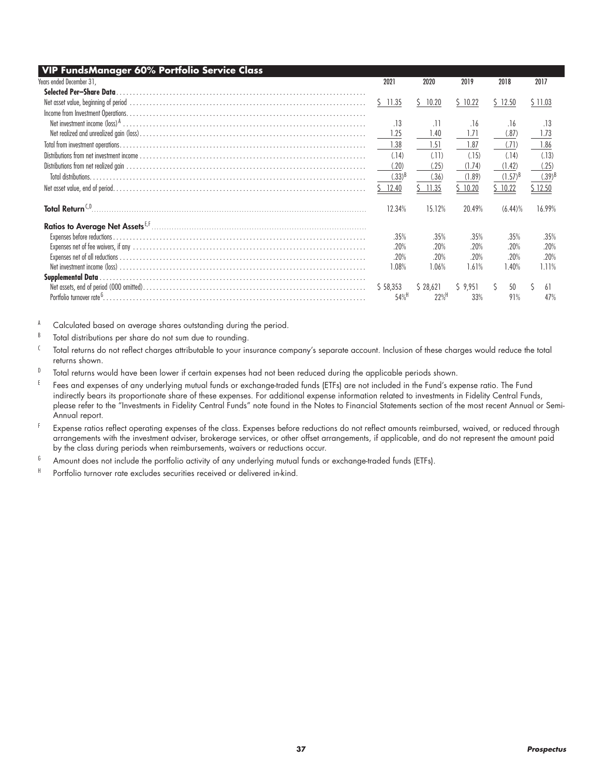| VIP FundsManager 60% Portfolio Service Class |                    |            |         |              |           |
|----------------------------------------------|--------------------|------------|---------|--------------|-----------|
| Years ended December 31,                     | 2021               | 2020       | 2019    | 2018         | 2017      |
| Selected Per-Share Data                      |                    |            |         |              |           |
|                                              | \$11.35            | 10.20<br>S | \$10.22 | \$12.50      | \$11.03   |
|                                              |                    |            |         |              |           |
|                                              | .13                | .11        | .16     | .16          | .13       |
|                                              | 1.25               | 1.40       | 1.71    | (.87)        | 1.73      |
|                                              | 1.38               | 1.51       | 1.87    | (71)         | 1.86      |
|                                              | (.14)              | (11)       | (.15)   | (.14)        | (.13)     |
|                                              | (.20)              | (.25)      | (1.74)  | (1.42)       | (.25)     |
|                                              | $(.33)^{5}$        | (.36)      | (1.89)  | $(1.57)^{B}$ | $(.39)^8$ |
|                                              | \$12.40            | 11.35      | 10.20   | \$10.22      | \$12.50   |
|                                              | 12.34%             | 15.12%     | 20.49%  | $(6.44)\%$   | 16.99%    |
|                                              |                    |            |         |              |           |
|                                              | .35%               | .35%       | .35%    | .35%         | .35%      |
|                                              | .20%               | .20%       | .20%    | .20%         | .20%      |
|                                              | .20%               | .20%       | .20%    | .20%         | .20%      |
|                                              | 1.08%              | 1.06%      | 1.61%   | 1.40%        | 1.11%     |
|                                              |                    |            |         |              |           |
|                                              | \$58,353           | \$28,621   | 59,951  | 50<br>S.     | 61        |
|                                              | $54%$ <sup>H</sup> | 22%        | 33%     | 91%          | 47%       |

- B Total distributions per share do not sum due to rounding.
- <sup>C</sup> Total returns do not reflect charges attributable to your insurance company's separate account. Inclusion of these charges would reduce the total returns shown.
- D Total returns would have been lower if certain expenses had not been reduced during the applicable periods shown.
- E Fees and expenses of any underlying mutual funds or exchange-traded funds (ETFs) are not included in the Fund's expense ratio. The Fund indirectly bears its proportionate share of these expenses. For additional expense information related to investments in Fidelity Central Funds, please refer to the "Investments in Fidelity Central Funds" note found in the Notes to Financial Statements section of the most recent Annual or Semi-Annual report.
- <sup>F</sup> Expense ratios reflect operating expenses of the class. Expenses before reductions do not reflect amounts reimbursed, waived, or reduced through arrangements with the investment adviser, brokerage services, or other offset arrangements, if applicable, and do not represent the amount paid by the class during periods when reimbursements, waivers or reductions occur.
- $6$  Amount does not include the portfolio activity of any underlying mutual funds or exchange-traded funds (ETFs).
- H Portfolio turnover rate excludes securities received or delivered in-kind.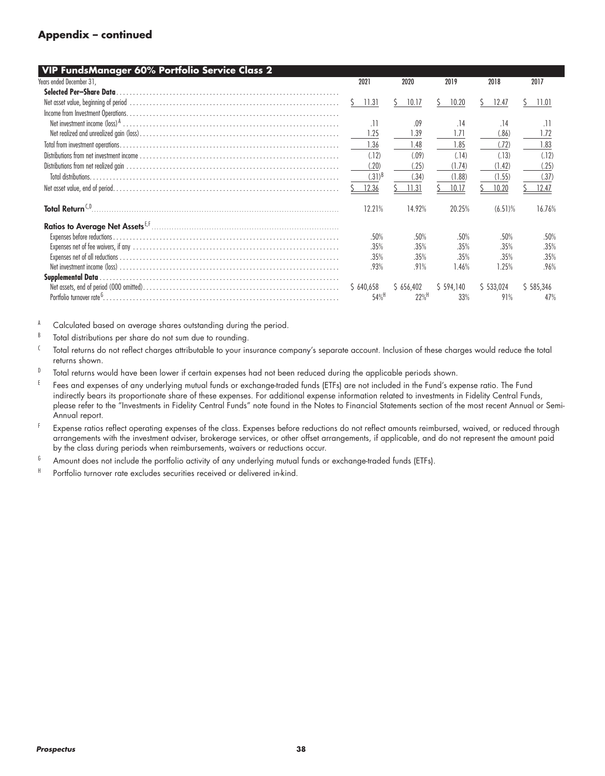#### **Appendix – continued**

| VIP FundsManager 60% Portfolio Service Class 2 |                  |                    |             |            |               |
|------------------------------------------------|------------------|--------------------|-------------|------------|---------------|
| Years ended December 31,                       | 2021             | 2020               | 2019        | 2018       | 2017          |
| Selected Per-Share Data                        |                  |                    |             |            |               |
|                                                | 11.31<br>S       | 10.17<br>S.        | 10.20<br>S. | 12.47<br>S | 11.01<br>S    |
|                                                |                  |                    |             |            |               |
|                                                | .11              | .09                | .14         | .14        | .11           |
|                                                | 1.25             | 1.39               | 1.71        | (.86)      | 1.72          |
|                                                | 1.36             | 1.48               | 1.85        | (.72)      | 1.83          |
|                                                | (.12)            | (.09)              | (.14)       | (.13)      | (.12)         |
|                                                | (.20)            | (.25)              | (1.74)      | (1.42)     | (.25)         |
| Total distributions                            | $(.31)^{B}$      | (.34)              | (1.88)      | (1.55)     | (.37)         |
|                                                | 12.36            | 11.31              | 10.17       | 10.20      | 12.47         |
|                                                |                  |                    |             |            |               |
|                                                | 12.21%           | 14.92%             | 20.25%      | $(6.51)\%$ | 16.76%        |
|                                                |                  |                    |             |            |               |
|                                                |                  |                    |             |            |               |
|                                                | .50%             | .50%               | .50%        | .50%       | .50%          |
|                                                | .35%             | .35%               | .35%        | .35%       | .35%          |
|                                                | .35%             | .35%               | .35%        | .35%       | .35%          |
|                                                | .93%             | .91%               | 1.46%       | 1.25%      | .96%          |
|                                                |                  |                    |             |            |               |
|                                                | \$640,658        | \$656,402          | \$594,140   | \$533,024  | \$5, 585, 346 |
| Portfolio turnover rate <sup>6</sup> .         | 54% <sup>H</sup> | $22%$ <sup>H</sup> | 33%         | 91%        | 47%           |
|                                                |                  |                    |             |            |               |

- $B$  Total distributions per share do not sum due to rounding.
- <sup>C</sup> Total returns do not reflect charges attributable to your insurance company's separate account. Inclusion of these charges would reduce the total returns shown.
- D Total returns would have been lower if certain expenses had not been reduced during the applicable periods shown.
- E Fees and expenses of any underlying mutual funds or exchange-traded funds (ETFs) are not included in the Fund's expense ratio. The Fund indirectly bears its proportionate share of these expenses. For additional expense information related to investments in Fidelity Central Funds, please refer to the "Investments in Fidelity Central Funds" note found in the Notes to Financial Statements section of the most recent Annual or Semi-Annual report.
- <sup>F</sup> Expense ratios reflect operating expenses of the class. Expenses before reductions do not reflect amounts reimbursed, waived, or reduced through arrangements with the investment adviser, brokerage services, or other offset arrangements, if applicable, and do not represent the amount paid by the class during periods when reimbursements, waivers or reductions occur.
- $6$  Amount does not include the portfolio activity of any underlying mutual funds or exchange-traded funds (ETFs).
- H Portfolio turnover rate excludes securities received or delivered in-kind.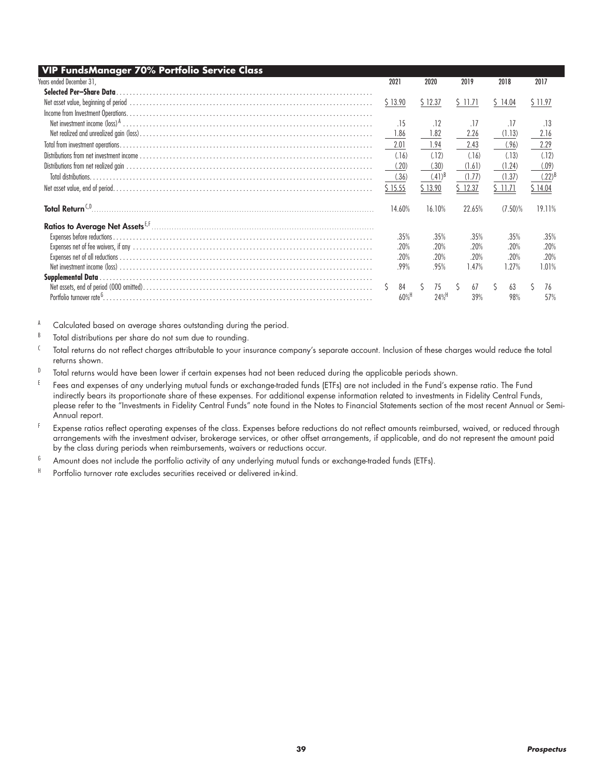| VIP FundsManager 70% Portfolio Service Class |                     |                    |          |            |             |
|----------------------------------------------|---------------------|--------------------|----------|------------|-------------|
| Years ended December 31,                     | 2021                | 2020               | 2019     | 2018       | 2017        |
| Selected Per-Share Data                      |                     |                    |          |            |             |
|                                              | \$13.90             | \$12.37            | \$11.71  | \$14.04    | \$11.97     |
|                                              |                     |                    |          |            |             |
|                                              | .15                 | .12                | .17      | .17        | .13         |
|                                              | 1.86                | 1.82               | 2.26     | (1.13)     | 2.16        |
|                                              | 2.01                | 1.94               | 2.43     | (.96)      | 2.29        |
|                                              | (.16)               | (.12)              | (.16)    | (.13)      | (.12)       |
|                                              | (.20)               | (.30)              | (1.61)   | (1.24)     | (.09)       |
|                                              | (.36)               | $(41)^8$           | (1.77)   | (1.37)     | $(.22)^{B}$ |
|                                              | \$15.55             | \$13.90            | \$ 12.37 | \$ 11.71   | \$14.04     |
|                                              | 14.60%              | 16.10%             | 22.65%   | $(7.50)\%$ | 19.11%      |
|                                              |                     |                    |          |            |             |
|                                              | .35%                | .35%               | .35%     | .35%       | .35%        |
|                                              | .20%                | .20%               | .20%     | .20%       | .20%        |
|                                              | .20%                | .20%               | .20%     | .20%       | .20%        |
|                                              | .99%                | .95%               | 1.47%    | 1.27%      | 1.01%       |
|                                              |                     |                    |          |            |             |
|                                              | 84<br>S             | 75                 | 67       | 63<br>S    | 76          |
|                                              | $60\%$ <sup>H</sup> | $24%$ <sup>H</sup> | 39%      | 98%        | 57%         |

- B Total distributions per share do not sum due to rounding.
- <sup>C</sup> Total returns do not reflect charges attributable to your insurance company's separate account. Inclusion of these charges would reduce the total returns shown.
- D Total returns would have been lower if certain expenses had not been reduced during the applicable periods shown.
- E Fees and expenses of any underlying mutual funds or exchange-traded funds (ETFs) are not included in the Fund's expense ratio. The Fund indirectly bears its proportionate share of these expenses. For additional expense information related to investments in Fidelity Central Funds, please refer to the "Investments in Fidelity Central Funds" note found in the Notes to Financial Statements section of the most recent Annual or Semi-Annual report.
- <sup>F</sup> Expense ratios reflect operating expenses of the class. Expenses before reductions do not reflect amounts reimbursed, waived, or reduced through arrangements with the investment adviser, brokerage services, or other offset arrangements, if applicable, and do not represent the amount paid by the class during periods when reimbursements, waivers or reductions occur.
- $6$  Amount does not include the portfolio activity of any underlying mutual funds or exchange-traded funds (ETFs).
- H Portfolio turnover rate excludes securities received or delivered in-kind.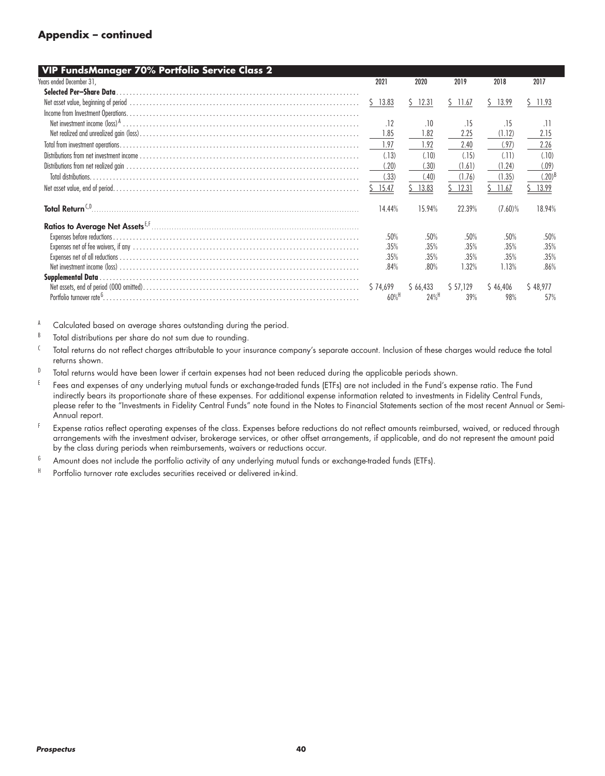#### **Appendix – continued**

| VIP FundsManager 70% Portfolio Service Class 2                                                                                                                                                                                 |                     |                    |          |             |             |
|--------------------------------------------------------------------------------------------------------------------------------------------------------------------------------------------------------------------------------|---------------------|--------------------|----------|-------------|-------------|
| Years ended December 31,                                                                                                                                                                                                       | 2021                | 2020               | 2019     | 2018        | 2017        |
| Selected Per-Share Data                                                                                                                                                                                                        |                     |                    |          |             |             |
| Net asset value, beginning of period with the content of the content of the content of period of the content of the content of the content of the content of the content of the content of the content of the content of the c | Ŝ.<br>13.83         | $5$ 12.31          | S 11.67  | 13.99<br>S. | $5$ 11.93   |
|                                                                                                                                                                                                                                |                     |                    |          |             |             |
|                                                                                                                                                                                                                                | .12                 | .10                | .15      | .15         | .11         |
|                                                                                                                                                                                                                                | 1.85                | 1.82               | 2.25     | (1.12)      | 2.15        |
|                                                                                                                                                                                                                                | 1.97                | 1.92               | 2.40     | (.97)       | 2.26        |
|                                                                                                                                                                                                                                | (.13)               | (.10)              | (.15)    | (11)        | (.10)       |
|                                                                                                                                                                                                                                | (.20)               | (.30)              | (1.61)   | (1.24)      | (.09)       |
| Total distributions.                                                                                                                                                                                                           | (.33)               | (.40)              | (1.76)   | (1.35)      | $(.20)^{t}$ |
|                                                                                                                                                                                                                                | 15.47               | 13.83              | 12.31    | 11.67       | 13.99       |
| Total Return <sup>CO</sup>                                                                                                                                                                                                     | 14.44%              | 15.94%             | 22.39%   | $(7.60)\%$  | 18.94%      |
|                                                                                                                                                                                                                                |                     |                    |          |             |             |
|                                                                                                                                                                                                                                | .50%                | .50%               | .50%     | .50%        | .50%        |
|                                                                                                                                                                                                                                | .35%                | .35%               | .35%     | .35%        | .35%        |
|                                                                                                                                                                                                                                | .35%                | .35%               | .35%     | .35%        | .35%        |
|                                                                                                                                                                                                                                | .84%                | .80%               | 1.32%    | 1.13%       | .86%        |
|                                                                                                                                                                                                                                |                     |                    |          |             |             |
|                                                                                                                                                                                                                                | \$74,699            | \$66,433           | \$57,129 | \$46,406    | \$48.977    |
|                                                                                                                                                                                                                                | $60\%$ <sup>H</sup> | $24%$ <sup>H</sup> | 39%      | 98%         | 57%         |
|                                                                                                                                                                                                                                |                     |                    |          |             |             |

- $B$  Total distributions per share do not sum due to rounding.
- <sup>C</sup> Total returns do not reflect charges attributable to your insurance company's separate account. Inclusion of these charges would reduce the total returns shown.
- D Total returns would have been lower if certain expenses had not been reduced during the applicable periods shown.
- E Fees and expenses of any underlying mutual funds or exchange-traded funds (ETFs) are not included in the Fund's expense ratio. The Fund indirectly bears its proportionate share of these expenses. For additional expense information related to investments in Fidelity Central Funds, please refer to the "Investments in Fidelity Central Funds" note found in the Notes to Financial Statements section of the most recent Annual or Semi-Annual report.
- <sup>F</sup> Expense ratios reflect operating expenses of the class. Expenses before reductions do not reflect amounts reimbursed, waived, or reduced through arrangements with the investment adviser, brokerage services, or other offset arrangements, if applicable, and do not represent the amount paid by the class during periods when reimbursements, waivers or reductions occur.
- $6$  Amount does not include the portfolio activity of any underlying mutual funds or exchange-traded funds (ETFs).
- H Portfolio turnover rate excludes securities received or delivered in-kind.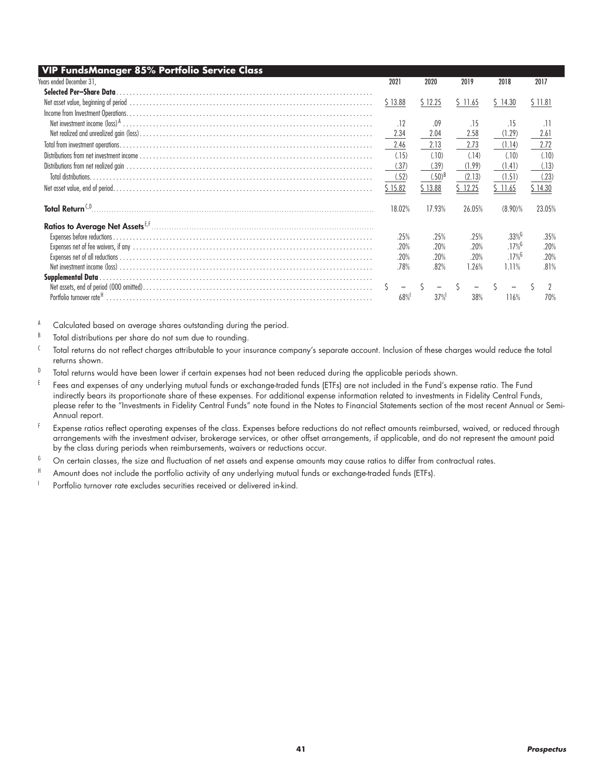| VIP FundsManager 85% Portfolio Service Class |         |             |          |                      |         |
|----------------------------------------------|---------|-------------|----------|----------------------|---------|
| Years ended December 31,                     | 2021    | 2020        | 2019     | 2018                 | 2017    |
| Selected Per-Share Data                      |         |             |          |                      |         |
|                                              | \$13.88 | \$12.25     | \$ 11.65 | \$14.30              | \$11.81 |
|                                              |         |             |          |                      |         |
|                                              | .12     | .09         | .15      | .15                  | .11     |
|                                              | 2.34    | 2.04        | 2.58     | (1.29)               | 2.61    |
|                                              | 2.46    | 2.13        | 2.73     | (1.14)               | 2.72    |
|                                              | (.15)   | (.10)       | (.14)    | (.10)                | (.10)   |
|                                              | (.37)   | (.39)       | (1.99)   | (1.41)               | (.13)   |
|                                              | (.52)   | $(.50)^{B}$ | (2.13)   | (1.51)               | (.23)   |
|                                              | \$15.82 | \$13.88     | 12.25    | \$ 11.65             | \$14.30 |
|                                              | 18.02%  | 17.93%      | 26.05%   | $(8.90)\%$           | 23.05%  |
|                                              |         |             |          |                      |         |
|                                              | .25%    | .25%        | .25%     | $.33\%$              | .35%    |
|                                              | .20%    | .20%        | .20%     | $.17\%$ <sup>6</sup> | .20%    |
|                                              | .20%    | .20%        | .20%     | $.17\%$ <sup>6</sup> | .20%    |
|                                              | .78%    | .82%        | 1.26%    | 1.11%                | .81%    |
|                                              |         |             |          |                      |         |
|                                              |         |             |          |                      |         |
|                                              | 68%     | 37%         | 38%      | 116%                 | 70%     |

- B Total distributions per share do not sum due to rounding.
- <sup>C</sup> Total returns do not reflect charges attributable to your insurance company's separate account. Inclusion of these charges would reduce the total returns shown.
- D Total returns would have been lower if certain expenses had not been reduced during the applicable periods shown.
- <sup>E</sup> Fees and expenses of any underlying mutual funds or exchange-traded funds (ETFs) are not included in the Fund's expense ratio. The Fund indirectly bears its proportionate share of these expenses. For additional expense information related to investments in Fidelity Central Funds, please refer to the "Investments in Fidelity Central Funds" note found in the Notes to Financial Statements section of the most recent Annual or Semi-Annual report.
- F Expense ratios reflect operating expenses of the class. Expenses before reductions do not reflect amounts reimbursed, waived, or reduced through arrangements with the investment adviser, brokerage services, or other offset arrangements, if applicable, and do not represent the amount paid by the class during periods when reimbursements, waivers or reductions occur.
- $6$  On certain classes, the size and fluctuation of net assets and expense amounts may cause ratios to differ from contractual rates.
- H Amount does not include the portfolio activity of any underlying mutual funds or exchange-traded funds (ETFs).
- <sup>1</sup> Portfolio turnover rate excludes securities received or delivered in-kind.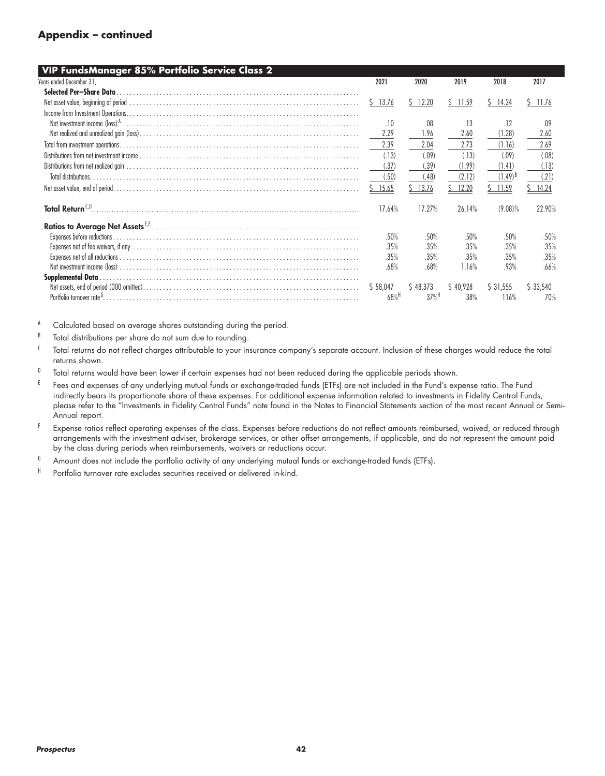#### **Appendix – continued**

| VIP FundsManager 85% Portfolio Service Class 2                                                                                                                                                                                 |                    |                    |          |              |          |
|--------------------------------------------------------------------------------------------------------------------------------------------------------------------------------------------------------------------------------|--------------------|--------------------|----------|--------------|----------|
| Years ended December 31,                                                                                                                                                                                                       | 2021               | 2020               | 2019     | 2018         | 2017     |
| Selected Per-Share Data                                                                                                                                                                                                        |                    |                    |          |              |          |
| Net asset value, beginning of period with the content of the content of the content of period of the content of the content of the content of the content of the content of the content of the content of the content of the c | Ŝ.<br>13.76        | \$12.20            | S 11.59  | S.<br>14.24  | \$11.76  |
|                                                                                                                                                                                                                                |                    |                    |          |              |          |
|                                                                                                                                                                                                                                | .10                | .08                | .13      | .12          | .09      |
|                                                                                                                                                                                                                                | 2.29               | 1.96               | 2.60     | (1.28)       | 2.60     |
|                                                                                                                                                                                                                                | 2.39               | 2.04               | 2.73     | (1.16)       | 2.69     |
|                                                                                                                                                                                                                                | (.13)              | (.09)              | (.13)    | (.09)        | (.08)    |
|                                                                                                                                                                                                                                | (.37)              | (.39)              | (1.99)   | (1.41)       | (.13)    |
| Total distributions.                                                                                                                                                                                                           | (.50)              | (.48)              | (2.12)   | $(1.49)^{B}$ | (.21)    |
|                                                                                                                                                                                                                                | 15.65              | 13.76              | 12.20    | 11.59        | 14.24    |
| Total Return <sup>CO</sup>                                                                                                                                                                                                     | 17.64%             | 17.27%             | 26.14%   | $(9.08)\%$   | 22.90%   |
|                                                                                                                                                                                                                                |                    |                    |          |              |          |
|                                                                                                                                                                                                                                | .50%               | .50%               | .50%     | .50%         | .50%     |
|                                                                                                                                                                                                                                | .35%               | .35%               | .35%     | .35%         | .35%     |
|                                                                                                                                                                                                                                | .35%               | .35%               | .35%     | .35%         | .35%     |
|                                                                                                                                                                                                                                | .68%               | .68%               | 1.16%    | .93%         | .66%     |
|                                                                                                                                                                                                                                |                    |                    |          |              |          |
|                                                                                                                                                                                                                                | \$58,047           | \$48,373           | \$40,928 | \$31,555     | \$33,540 |
|                                                                                                                                                                                                                                | $68%$ <sup>H</sup> | $37%$ <sup>H</sup> | 38%      | 116%         | 70%      |
|                                                                                                                                                                                                                                |                    |                    |          |              |          |

- $B$  Total distributions per share do not sum due to rounding.
- <sup>C</sup> Total returns do not reflect charges attributable to your insurance company's separate account. Inclusion of these charges would reduce the total returns shown.
- D Total returns would have been lower if certain expenses had not been reduced during the applicable periods shown.
- E Fees and expenses of any underlying mutual funds or exchange-traded funds (ETFs) are not included in the Fund's expense ratio. The Fund indirectly bears its proportionate share of these expenses. For additional expense information related to investments in Fidelity Central Funds, please refer to the "Investments in Fidelity Central Funds" note found in the Notes to Financial Statements section of the most recent Annual or Semi-Annual report.
- <sup>F</sup> Expense ratios reflect operating expenses of the class. Expenses before reductions do not reflect amounts reimbursed, waived, or reduced through arrangements with the investment adviser, brokerage services, or other offset arrangements, if applicable, and do not represent the amount paid by the class during periods when reimbursements, waivers or reductions occur.
- $6$  Amount does not include the portfolio activity of any underlying mutual funds or exchange-traded funds (ETFs).
- H Portfolio turnover rate excludes securities received or delivered in-kind.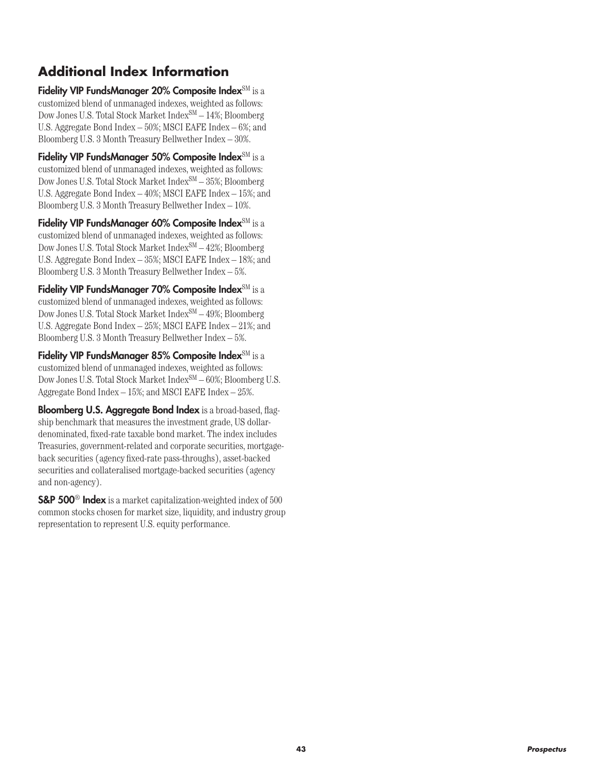# **Additional Index Information**

Fidelity VIP FundsManager 20% Composite Index<sup>SM</sup> is a customized blend of unmanaged indexes, weighted as follows: Dow Jones U.S. Total Stock Market Index<sup>SM</sup> – 14%; Bloomberg U.S. Aggregate Bond Index – 50%; MSCI EAFE Index – 6%; and Bloomberg U.S. 3 Month Treasury Bellwether Index – 30%.

Fidelity VIP FundsManager 50% Composite Index<sup>SM</sup> is a customized blend of unmanaged indexes, weighted as follows: Dow Jones U.S. Total Stock Market  $Index^{SM} - 35$ %; Bloomberg U.S. Aggregate Bond Index – 40%; MSCI EAFE Index – 15%; and Bloomberg U.S. 3 Month Treasury Bellwether Index – 10%.

Fidelity VIP FundsManager 60% Composite Index<sup>SM</sup> is a customized blend of unmanaged indexes, weighted as follows: Dow Jones U.S. Total Stock Market Index<sup>SM</sup>  $-42\%$ ; Bloomberg U.S. Aggregate Bond Index – 35%; MSCI EAFE Index – 18%; and Bloomberg U.S. 3 Month Treasury Bellwether Index – 5%.

Fidelity VIP FundsManager 70% Composite Index<sup>SM</sup> is a customized blend of unmanaged indexes, weighted as follows: Dow Jones U.S. Total Stock Market Index<sup>SM</sup> – 49%; Bloomberg U.S. Aggregate Bond Index – 25%; MSCI EAFE Index – 21%; and Bloomberg U.S. 3 Month Treasury Bellwether Index – 5%.

Fidelity VIP FundsManager 85% Composite Index<sup>SM</sup> is a customized blend of unmanaged indexes, weighted as follows: Dow Jones U.S. Total Stock Market Index<sup>SM</sup>  $-60\%$ ; Bloomberg U.S. Aggregate Bond Index – 15%; and MSCI EAFE Index – 25%.

Bloomberg U.S. Aggregate Bond Index is a broad-based, flagship benchmark that measures the investment grade, US dollardenominated, fixed-rate taxable bond market. The index includes Treasuries, government-related and corporate securities, mortgageback securities (agency fixed-rate pass-throughs), asset-backed securities and collateralised mortgage-backed securities (agency and non-agency).

S&P 500® Index is a market capitalization-weighted index of 500 common stocks chosen for market size, liquidity, and industry group representation to represent U.S. equity performance.